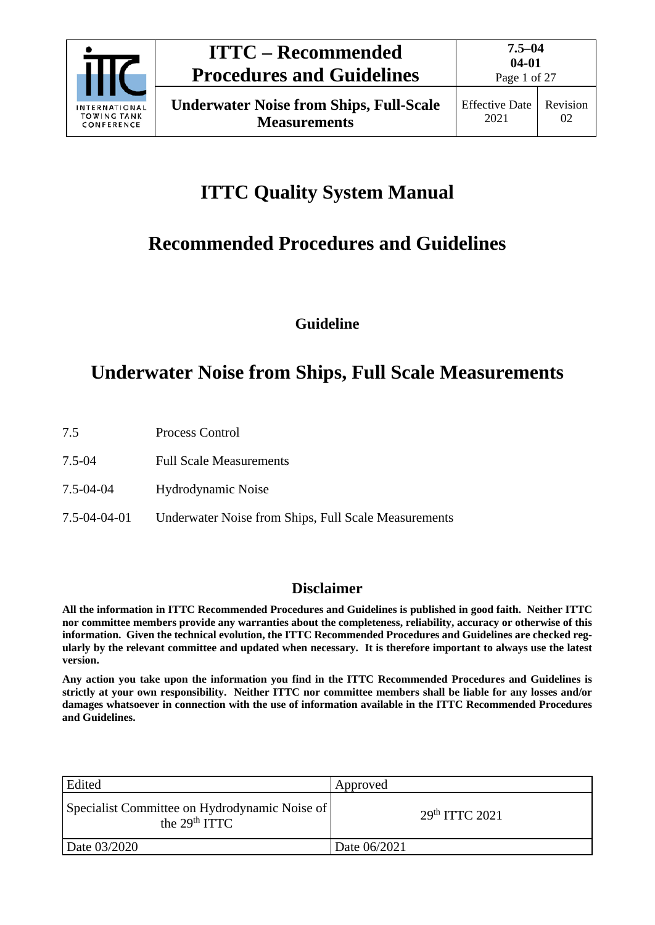

# **ITTC Quality System Manual**

# **Recommended Procedures and Guidelines**

**Guideline**

## **Underwater Noise from Ships, Full Scale Measurements**

- 7.5 Process Control
- 7.5-04 Full Scale Measurements
- 7.5-04-04 Hydrodynamic Noise
- 7.5-04-04-01 Underwater Noise from Ships, Full Scale Measurements

### **Disclaimer**

**All the information in ITTC Recommended Procedures and Guidelines is published in good faith. Neither ITTC nor committee members provide any warranties about the completeness, reliability, accuracy or otherwise of this information. Given the technical evolution, the ITTC Recommended Procedures and Guidelines are checked regularly by the relevant committee and updated when necessary. It is therefore important to always use the latest version.**

**Any action you take upon the information you find in the ITTC Recommended Procedures and Guidelines is strictly at your own responsibility. Neither ITTC nor committee members shall be liable for any losses and/or damages whatsoever in connection with the use of information available in the ITTC Recommended Procedures and Guidelines.**

| Edited                                                           | Approved         |
|------------------------------------------------------------------|------------------|
| Specialist Committee on Hydrodynamic Noise of<br>the $29th TTTC$ | $29th$ ITTC 2021 |
| Date 03/2020                                                     | Date 06/2021     |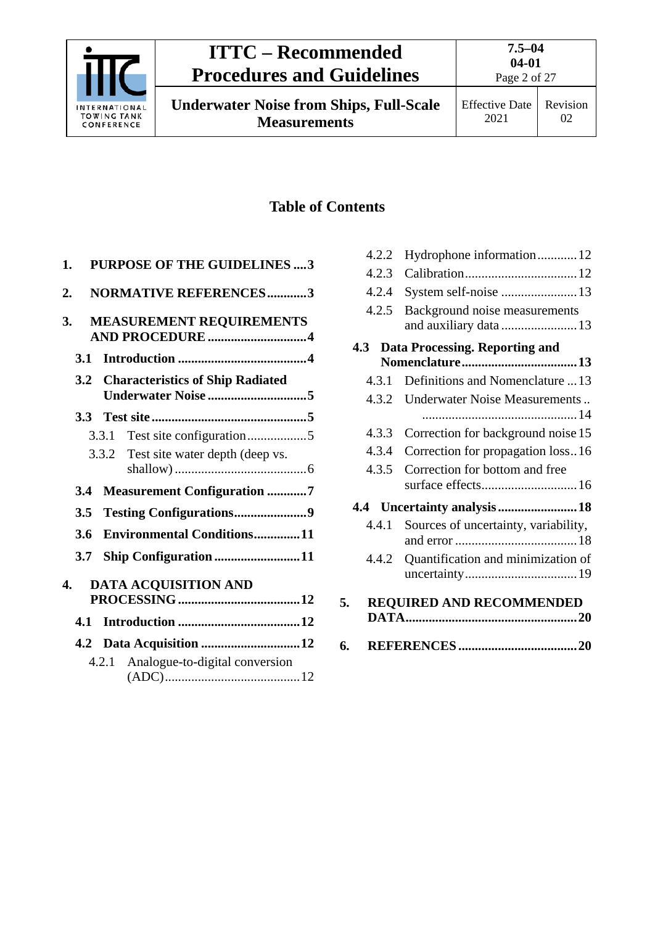

**Underwater Noise from Ships, Full-Scale Measurements**

Effective Date 2021

### **Table of Contents**

| 1.  | <b>PURPOSE OF THE GUIDELINES 3</b>                 |
|-----|----------------------------------------------------|
| 2.  | <b>NORMATIVE REFERENCES3</b>                       |
| 3.  | <b>MEASUREMENT REQUIREMENTS</b><br>AND PROCEDURE 4 |
| 3.1 |                                                    |
| 3.2 | <b>Characteristics of Ship Radiated</b>            |
| 3.3 |                                                    |
|     | 3.3.1                                              |
|     | 3.3.2 Test site water depth (deep vs.              |
| 3.4 | <b>Measurement Configuration 7</b>                 |
| 3.5 |                                                    |
| 3.6 | <b>Environmental Conditions11</b>                  |
| 3.7 | Ship Configuration 11                              |
| 4.  | DATA ACQUISITION AND                               |
| 4.1 |                                                    |
|     | 4.2 Data Acquisition 12                            |
|     | Analogue-to-digital conversion<br>4.2.1            |

| 4.2.2 | Hydrophone information12                                |
|-------|---------------------------------------------------------|
| 4.2.3 |                                                         |
| 4.2.4 | System self-noise 13                                    |
| 4.2.5 | Background noise measurements<br>and auxiliary data  13 |
| 4.3   | <b>Data Processing. Reporting and</b>                   |
|       |                                                         |
| 4.3.1 | Definitions and Nomenclature  13                        |
| 4.3.2 | Underwater Noise Measurements                           |
| 4.3.3 | Correction for background noise 15                      |
| 4.3.4 | Correction for propagation loss16                       |
| 4.3.5 | Correction for bottom and free                          |
|       | 4.4 Uncertainty analysis18                              |
| 4.4.1 | Sources of uncertainty, variability,                    |
| 4.4.2 | Quantification and minimization of                      |
| 5.    | REQUIRED AND RECOMMENDED                                |
| 6.    |                                                         |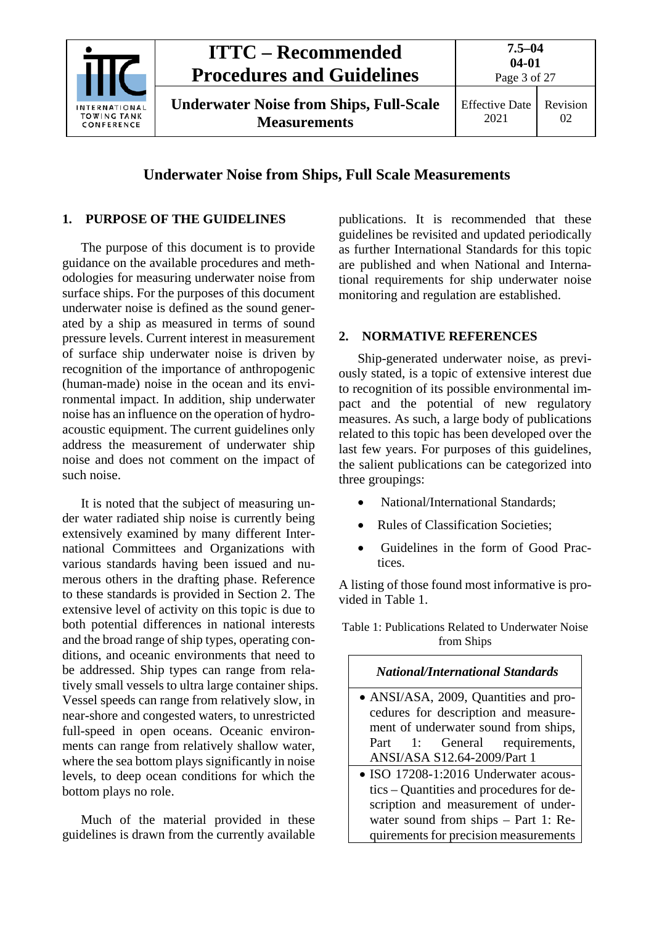

#### **Underwater Noise from Ships, Full Scale Measurements**

#### <span id="page-2-0"></span>**1. PURPOSE OF THE GUIDELINES**

The purpose of this document is to provide guidance on the available procedures and methodologies for measuring underwater noise from surface ships. For the purposes of this document underwater noise is defined as the sound generated by a ship as measured in terms of sound pressure levels. Current interest in measurement of surface ship underwater noise is driven by recognition of the importance of anthropogenic (human-made) noise in the ocean and its environmental impact. In addition, ship underwater noise has an influence on the operation of hydroacoustic equipment. The current guidelines only address the measurement of underwater ship noise and does not comment on the impact of such noise.

It is noted that the subject of measuring under water radiated ship noise is currently being extensively examined by many different International Committees and Organizations with various standards having been issued and numerous others in the drafting phase. Reference to these standards is provided in Section 2. The extensive level of activity on this topic is due to both potential differences in national interests and the broad range of ship types, operating conditions, and oceanic environments that need to be addressed. Ship types can range from relatively small vessels to ultra large container ships. Vessel speeds can range from relatively slow, in near-shore and congested waters, to unrestricted full-speed in open oceans. Oceanic environments can range from relatively shallow water, where the sea bottom plays significantly in noise levels, to deep ocean conditions for which the bottom plays no role.

Much of the material provided in these guidelines is drawn from the currently available publications. It is recommended that these guidelines be revisited and updated periodically as further International Standards for this topic are published and when National and International requirements for ship underwater noise monitoring and regulation are established.

#### <span id="page-2-1"></span>**2. NORMATIVE REFERENCES**

Ship-generated underwater noise, as previously stated, is a topic of extensive interest due to recognition of its possible environmental impact and the potential of new regulatory measures. As such, a large body of publications related to this topic has been developed over the last few years. For purposes of this guidelines, the salient publications can be categorized into three groupings:

- National/International Standards;
- Rules of Classification Societies;
- Guidelines in the form of Good Practices.

A listing of those found most informative is provided in [Table 1.](#page-2-2)

<span id="page-2-2"></span>Table 1: Publications Related to Underwater Noise from Ships

| <b>National/International Standards</b>  |
|------------------------------------------|
| · ANSI/ASA, 2009, Quantities and pro-    |
| cedures for description and measure-     |
| ment of underwater sound from ships,     |
| Part 1: General requirements,            |
| ANSI/ASA S12.64-2009/Part 1              |
| • ISO 17208-1:2016 Underwater acous-     |
| tics – Quantities and procedures for de- |
| scription and measurement of under-      |
| water sound from ships $-$ Part 1: Re-   |
| quirements for precision measurements    |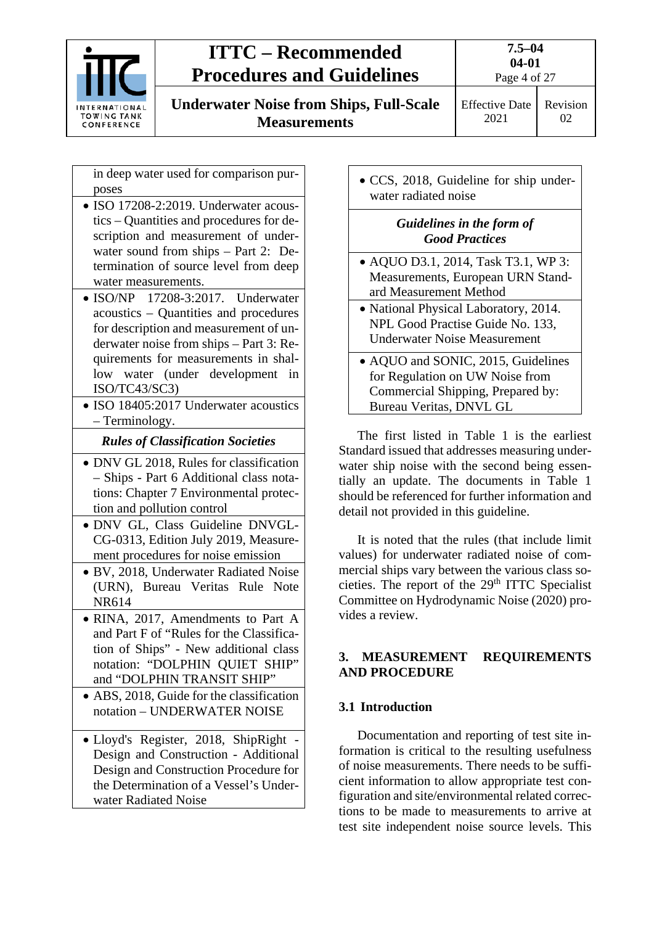

**Underwater Noise from Ships, Full-Scale Measurements**

2021

Effective Date Revision  $02<sub>z</sub>$ 

in deep water used for comparison purposes

- ISO 17208-2:2019. Underwater acoustics – Quantities and procedures for description and measurement of underwater sound from ships – Part 2: Determination of source level from deep water measurements.
- ISO/NP 17208-3:2017. Underwater acoustics – Quantities and procedures for description and measurement of underwater noise from ships – Part 3: Requirements for measurements in shallow water (under development in ISO/TC43/SC3)
- ISO 18405:2017 Underwater acoustics – Terminology.

### *Rules of Classification Societies*

- DNV GL 2018, Rules for classification – Ships - Part 6 Additional class notations: Chapter 7 Environmental protection and pollution control
- DNV GL, Class Guideline DNVGL-CG-0313, Edition July 2019, Measurement procedures for noise emission
- BV, 2018, Underwater Radiated Noise (URN), Bureau Veritas Rule Note NR614
- RINA, 2017, Amendments to Part A and Part F of "Rules for the Classification of Ships" - New additional class notation: "DOLPHIN QUIET SHIP" and "DOLPHIN TRANSIT SHIP"
- ABS, 2018. Guide for the classification notation – UNDERWATER NOISE
- Lloyd's Register, 2018, ShipRight Design and Construction - Additional Design and Construction Procedure for the Determination of a Vessel's Underwater Radiated Noise

• CCS, 2018, Guideline for ship underwater radiated noise

### *Guidelines in the form of Good Practices*

- AQUO D3.1, 2014, Task T3.1, WP 3: Measurements, European URN Standard Measurement Method
- National Physical Laboratory, 2014. NPL Good Practise Guide No. 133, Underwater Noise Measurement
- AQUO and SONIC, 2015, Guidelines for Regulation on UW Noise from Commercial Shipping, Prepared by: Bureau Veritas, DNVL GL

The first listed in [Table 1](#page-2-2) is the earliest Standard issued that addresses measuring underwater ship noise with the second being essentially an update. The documents in [Table 1](#page-2-2) should be referenced for further information and detail not provided in this guideline.

It is noted that the rules (that include limit values) for underwater radiated noise of commercial ships vary between the various class societies. The report of the  $29<sup>th</sup> TTC$  Specialist Committee on Hydrodynamic Noise (2020) provides a review.

### <span id="page-3-0"></span>**3. MEASUREMENT REQUIREMENTS AND PROCEDURE**

### <span id="page-3-1"></span>**3.1 Introduction**

Documentation and reporting of test site information is critical to the resulting usefulness of noise measurements. There needs to be sufficient information to allow appropriate test configuration and site/environmental related corrections to be made to measurements to arrive at test site independent noise source levels. This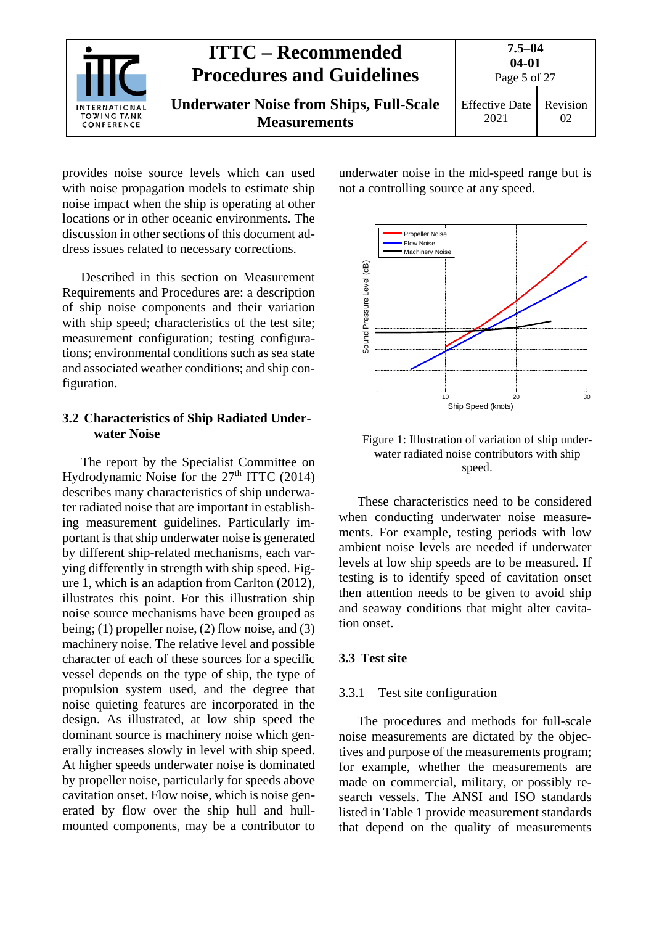| <b>INTERNATIONAL</b><br>TOWING TANK<br>CONFERENCE | <b>ITTC – Recommended</b><br><b>Procedures and Guidelines</b>         | $7.5 - 04$<br>$04 - 01$<br>Page 5 of 27 |                |
|---------------------------------------------------|-----------------------------------------------------------------------|-----------------------------------------|----------------|
|                                                   | <b>Underwater Noise from Ships, Full-Scale</b><br><b>Measurements</b> | <b>Effective Date</b><br>2021           | Revision<br>02 |

provides noise source levels which can used with noise propagation models to estimate ship noise impact when the ship is operating at other locations or in other oceanic environments. The discussion in other sections of this document address issues related to necessary corrections.

Described in this section on Measurement Requirements and Procedures are: a description of ship noise components and their variation with ship speed; characteristics of the test site; measurement configuration; testing configurations; environmental conditions such as sea state and associated weather conditions; and ship configuration.

#### <span id="page-4-0"></span>**3.2 Characteristics of Ship Radiated Underwater Noise**

The report by the Specialist Committee on Hydrodynamic Noise for the  $27<sup>th</sup> ITTC$  (2014) describes many characteristics of ship underwater radiated noise that are important in establishing measurement guidelines. Particularly important is that ship underwater noise is generated by different ship-related mechanisms, each varying differently in strength with ship speed. [Fig](#page-4-3)[ure 1,](#page-4-3) which is an adaption from Carlton (2012), illustrates this point. For this illustration ship noise source mechanisms have been grouped as being; (1) propeller noise, (2) flow noise, and (3) machinery noise. The relative level and possible character of each of these sources for a specific vessel depends on the type of ship, the type of propulsion system used, and the degree that noise quieting features are incorporated in the design. As illustrated, at low ship speed the dominant source is machinery noise which generally increases slowly in level with ship speed. At higher speeds underwater noise is dominated by propeller noise, particularly for speeds above cavitation onset. Flow noise, which is noise generated by flow over the ship hull and hullmounted components, may be a contributor to underwater noise in the mid-speed range but is not a controlling source at any speed.



<span id="page-4-3"></span>Figure 1: Illustration of variation of ship underwater radiated noise contributors with ship speed.

These characteristics need to be considered when conducting underwater noise measurements. For example, testing periods with low ambient noise levels are needed if underwater levels at low ship speeds are to be measured. If testing is to identify speed of cavitation onset then attention needs to be given to avoid ship and seaway conditions that might alter cavitation onset.

#### <span id="page-4-2"></span><span id="page-4-1"></span>**3.3 Test site**

#### 3.3.1 Test site configuration

The procedures and methods for full-scale noise measurements are dictated by the objectives and purpose of the measurements program; for example, whether the measurements are made on commercial, military, or possibly research vessels. The ANSI and ISO standards listed in [Table 1](#page-2-2) provide measurement standards that depend on the quality of measurements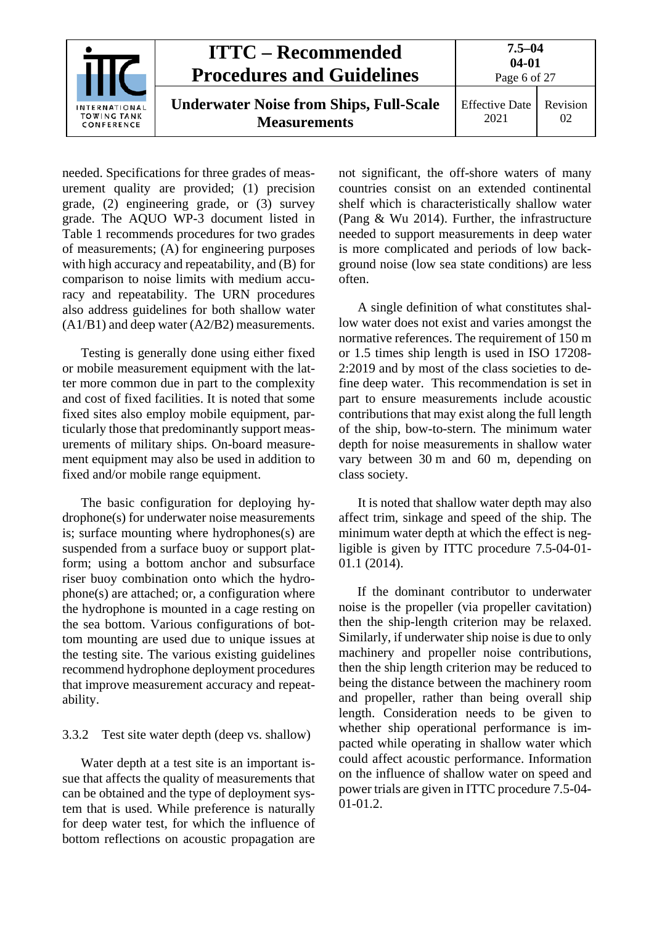|                                                   | <b>ITTC – Recommended</b><br><b>Procedures and Guidelines</b>         | $7.5 - 04$<br>$04 - 01$<br>Page 6 of 27 |                |
|---------------------------------------------------|-----------------------------------------------------------------------|-----------------------------------------|----------------|
| <b>INTERNATIONAL</b><br>TOWING TANK<br>CONFERENCE | <b>Underwater Noise from Ships, Full-Scale</b><br><b>Measurements</b> | <b>Effective Date</b><br>2021           | Revision<br>02 |

needed. Specifications for three grades of measurement quality are provided; (1) precision grade, (2) engineering grade, or (3) survey grade. The AQUO WP-3 document listed in [Table 1](#page-2-2) recommends procedures for two grades of measurements; (A) for engineering purposes with high accuracy and repeatability, and (B) for comparison to noise limits with medium accuracy and repeatability. The URN procedures also address guidelines for both shallow water (A1/B1) and deep water (A2/B2) measurements.

Testing is generally done using either fixed or mobile measurement equipment with the latter more common due in part to the complexity and cost of fixed facilities. It is noted that some fixed sites also employ mobile equipment, particularly those that predominantly support measurements of military ships. On-board measurement equipment may also be used in addition to fixed and/or mobile range equipment.

The basic configuration for deploying hydrophone(s) for underwater noise measurements is; surface mounting where hydrophones(s) are suspended from a surface buoy or support platform; using a bottom anchor and subsurface riser buoy combination onto which the hydrophone(s) are attached; or, a configuration where the hydrophone is mounted in a cage resting on the sea bottom. Various configurations of bottom mounting are used due to unique issues at the testing site. The various existing guidelines recommend hydrophone deployment procedures that improve measurement accuracy and repeatability.

#### <span id="page-5-0"></span>3.3.2 Test site water depth (deep vs. shallow)

Water depth at a test site is an important issue that affects the quality of measurements that can be obtained and the type of deployment system that is used. While preference is naturally for deep water test, for which the influence of bottom reflections on acoustic propagation are not significant, the off-shore waters of many countries consist on an extended continental shelf which is characteristically shallow water (Pang & Wu 2014). Further, the infrastructure needed to support measurements in deep water is more complicated and periods of low background noise (low sea state conditions) are less often.

A single definition of what constitutes shallow water does not exist and varies amongst the normative references. The requirement of 150 m or 1.5 times ship length is used in ISO 17208- 2:2019 and by most of the class societies to define deep water. This recommendation is set in part to ensure measurements include acoustic contributions that may exist along the full length of the ship, bow-to-stern. The minimum water depth for noise measurements in shallow water vary between 30 m and 60 m, depending on class society.

It is noted that shallow water depth may also affect trim, sinkage and speed of the ship. The minimum water depth at which the effect is negligible is given by ITTC procedure 7.5-04-01- 01.1 (2014).

If the dominant contributor to underwater noise is the propeller (via propeller cavitation) then the ship-length criterion may be relaxed. Similarly, if underwater ship noise is due to only machinery and propeller noise contributions, then the ship length criterion may be reduced to being the distance between the machinery room and propeller, rather than being overall ship length. Consideration needs to be given to whether ship operational performance is impacted while operating in shallow water which could affect acoustic performance. Information on the influence of shallow water on speed and power trials are given in ITTC procedure 7.5-04- 01-01.2.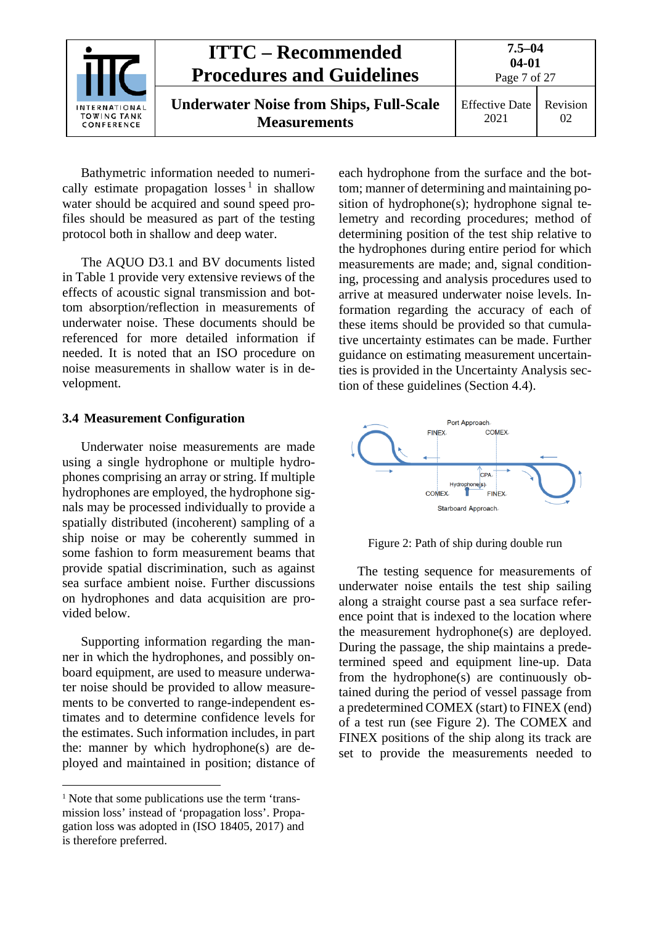|                                                   | <b>ITTC – Recommended</b><br><b>Procedures and Guidelines</b>         | $7.5 - 04$<br>$04 - 01$<br>Page 7 of 27 |                |
|---------------------------------------------------|-----------------------------------------------------------------------|-----------------------------------------|----------------|
| <b>INTERNATIONAL</b><br>TOWING TANK<br>CONFERENCE | <b>Underwater Noise from Ships, Full-Scale</b><br><b>Measurements</b> | <b>Effective Date</b><br>2021           | Revision<br>02 |

Bathymetric information needed to numerically estimate propagation  $losses<sup>1</sup>$  $losses<sup>1</sup>$  $losses<sup>1</sup>$  in shallow water should be acquired and sound speed profiles should be measured as part of the testing protocol both in shallow and deep water.

The AQUO D3.1 and BV documents listed in [Table 1](#page-2-2) provide very extensive reviews of the effects of acoustic signal transmission and bottom absorption/reflection in measurements of underwater noise. These documents should be referenced for more detailed information if needed. It is noted that an ISO procedure on noise measurements in shallow water is in development.

#### <span id="page-6-0"></span>**3.4 Measurement Configuration**

Underwater noise measurements are made using a single hydrophone or multiple hydrophones comprising an array or string. If multiple hydrophones are employed, the hydrophone signals may be processed individually to provide a spatially distributed (incoherent) sampling of a ship noise or may be coherently summed in some fashion to form measurement beams that provide spatial discrimination, such as against sea surface ambient noise. Further discussions on hydrophones and data acquisition are provided below.

Supporting information regarding the manner in which the hydrophones, and possibly onboard equipment, are used to measure underwater noise should be provided to allow measurements to be converted to range-independent estimates and to determine confidence levels for the estimates. Such information includes, in part the: manner by which hydrophone(s) are deployed and maintained in position; distance of each hydrophone from the surface and the bottom; manner of determining and maintaining position of hydrophone(s); hydrophone signal telemetry and recording procedures; method of determining position of the test ship relative to the hydrophones during entire period for which measurements are made; and, signal conditioning, processing and analysis procedures used to arrive at measured underwater noise levels. Information regarding the accuracy of each of these items should be provided so that cumulative uncertainty estimates can be made. Further guidance on estimating measurement uncertainties is provided in the Uncertainty Analysis section of these guidelines (Section 4.4).



<span id="page-6-1"></span>Figure 2: Path of ship during double run

The testing sequence for measurements of underwater noise entails the test ship sailing along a straight course past a sea surface reference point that is indexed to the location where the measurement hydrophone(s) are deployed. During the passage, the ship maintains a predetermined speed and equipment line-up. Data from the hydrophone(s) are continuously obtained during the period of vessel passage from a predetermined COMEX (start) to FINEX (end) of a test run (see [Figure 2\)](#page-6-1). The COMEX and FINEX positions of the ship along its track are set to provide the measurements needed to

<span id="page-6-2"></span><sup>&</sup>lt;sup>1</sup> Note that some publications use the term 'transmission loss' instead of 'propagation loss'. Propagation loss was adopted in (ISO 18405, 2017) and is therefore preferred.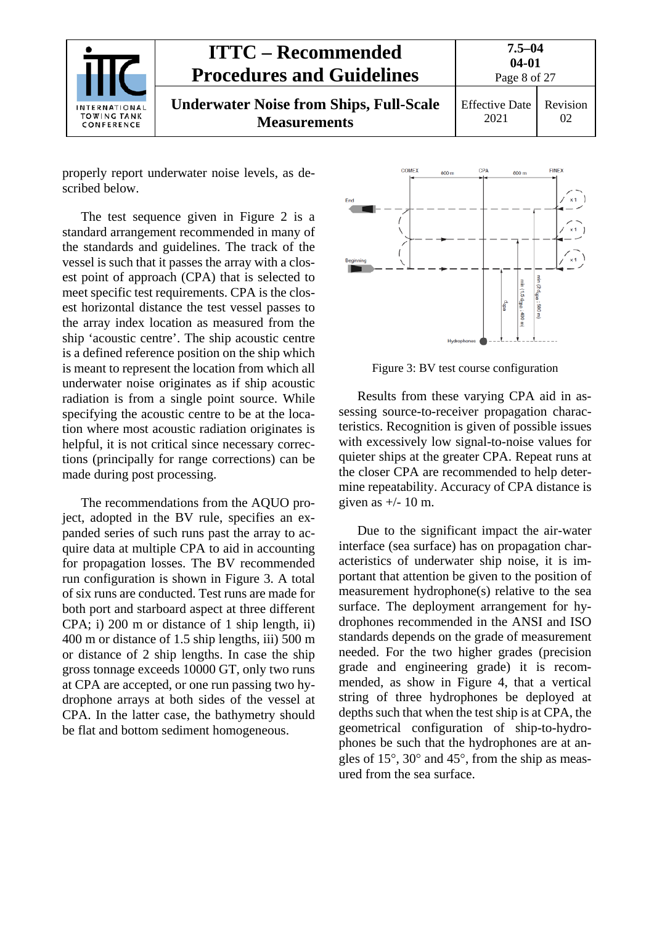|                                                   | <b>ITTC – Recommended</b><br><b>Procedures and Guidelines</b>         | $7.5 - 04$<br>$04 - 01$<br>Page 8 of 27 |                |
|---------------------------------------------------|-----------------------------------------------------------------------|-----------------------------------------|----------------|
| INTERNATIONAL<br><b>TOWING TANK</b><br>CONFERENCE | <b>Underwater Noise from Ships, Full-Scale</b><br><b>Measurements</b> | <b>Effective Date</b><br>2021           | Revision<br>02 |

properly report underwater noise levels, as described below.

The test sequence given in [Figure 2](#page-6-1) is a standard arrangement recommended in many of the standards and guidelines. The track of the vessel is such that it passes the array with a closest point of approach (CPA) that is selected to meet specific test requirements. CPA is the closest horizontal distance the test vessel passes to the array index location as measured from the ship 'acoustic centre'. The ship acoustic centre is a defined reference position on the ship which is meant to represent the location from which all underwater noise originates as if ship acoustic radiation is from a single point source. While specifying the acoustic centre to be at the location where most acoustic radiation originates is helpful, it is not critical since necessary corrections (principally for range corrections) can be made during post processing.

The recommendations from the AQUO project, adopted in the BV rule, specifies an expanded series of such runs past the array to acquire data at multiple CPA to aid in accounting for propagation losses. The BV recommended run configuration is shown in [Figure 3.](#page-7-0) A total of six runs are conducted. Test runs are made for both port and starboard aspect at three different CPA; i) 200 m or distance of 1 ship length, ii) 400 m or distance of 1.5 ship lengths, iii) 500 m or distance of 2 ship lengths. In case the ship gross tonnage exceeds 10000 GT, only two runs at CPA are accepted, or one run passing two hydrophone arrays at both sides of the vessel at CPA. In the latter case, the bathymetry should be flat and bottom sediment homogeneous.



<span id="page-7-0"></span>Figure 3: BV test course configuration

Results from these varying CPA aid in assessing source-to-receiver propagation characteristics. Recognition is given of possible issues with excessively low signal-to-noise values for quieter ships at the greater CPA. Repeat runs at the closer CPA are recommended to help determine repeatability. Accuracy of CPA distance is given as  $+/- 10$  m.

Due to the significant impact the air-water interface (sea surface) has on propagation characteristics of underwater ship noise, it is important that attention be given to the position of measurement hydrophone(s) relative to the sea surface. The deployment arrangement for hydrophones recommended in the ANSI and ISO standards depends on the grade of measurement needed. For the two higher grades (precision grade and engineering grade) it is recommended, as show in [Figure 4,](#page-8-1) that a vertical string of three hydrophones be deployed at depths such that when the test ship is at CPA, the geometrical configuration of ship-to-hydrophones be such that the hydrophones are at angles of 15°, 30° and 45°, from the ship as measured from the sea surface.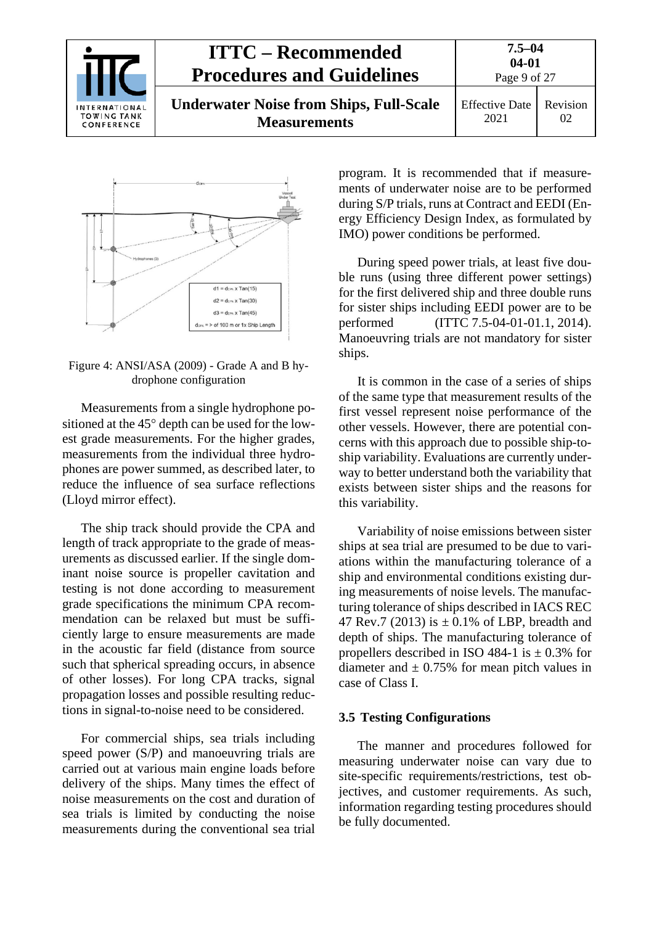



<span id="page-8-1"></span>Figure 4: ANSI/ASA (2009) - Grade A and B hydrophone configuration

Measurements from a single hydrophone positioned at the 45° depth can be used for the lowest grade measurements. For the higher grades, measurements from the individual three hydrophones are power summed, as described later, to reduce the influence of sea surface reflections (Lloyd mirror effect).

The ship track should provide the CPA and length of track appropriate to the grade of measurements as discussed earlier. If the single dominant noise source is propeller cavitation and testing is not done according to measurement grade specifications the minimum CPA recommendation can be relaxed but must be sufficiently large to ensure measurements are made in the acoustic far field (distance from source such that spherical spreading occurs, in absence of other losses). For long CPA tracks, signal propagation losses and possible resulting reductions in signal-to-noise need to be considered.

For commercial ships, sea trials including speed power (S/P) and manoeuvring trials are carried out at various main engine loads before delivery of the ships. Many times the effect of noise measurements on the cost and duration of sea trials is limited by conducting the noise measurements during the conventional sea trial program. It is recommended that if measurements of underwater noise are to be performed during S/P trials, runs at Contract and EEDI (Energy Efficiency Design Index, as formulated by IMO) power conditions be performed.

During speed power trials, at least five double runs (using three different power settings) for the first delivered ship and three double runs for sister ships including EEDI power are to be performed (ITTC 7.5-04-01-01.1, 2014). Manoeuvring trials are not mandatory for sister ships.

It is common in the case of a series of ships of the same type that measurement results of the first vessel represent noise performance of the other vessels. However, there are potential concerns with this approach due to possible ship-toship variability. Evaluations are currently underway to better understand both the variability that exists between sister ships and the reasons for this variability.

Variability of noise emissions between sister ships at sea trial are presumed to be due to variations within the manufacturing tolerance of a ship and environmental conditions existing during measurements of noise levels. The manufacturing tolerance of ships described in IACS REC 47 Rev.7 (2013) is  $\pm$  0.1% of LBP, breadth and depth of ships. The manufacturing tolerance of propellers described in ISO 484-1 is  $\pm$  0.3% for diameter and  $\pm$  0.75% for mean pitch values in case of Class I.

#### <span id="page-8-0"></span>**3.5 Testing Configurations**

The manner and procedures followed for measuring underwater noise can vary due to site-specific requirements/restrictions, test objectives, and customer requirements. As such, information regarding testing procedures should be fully documented.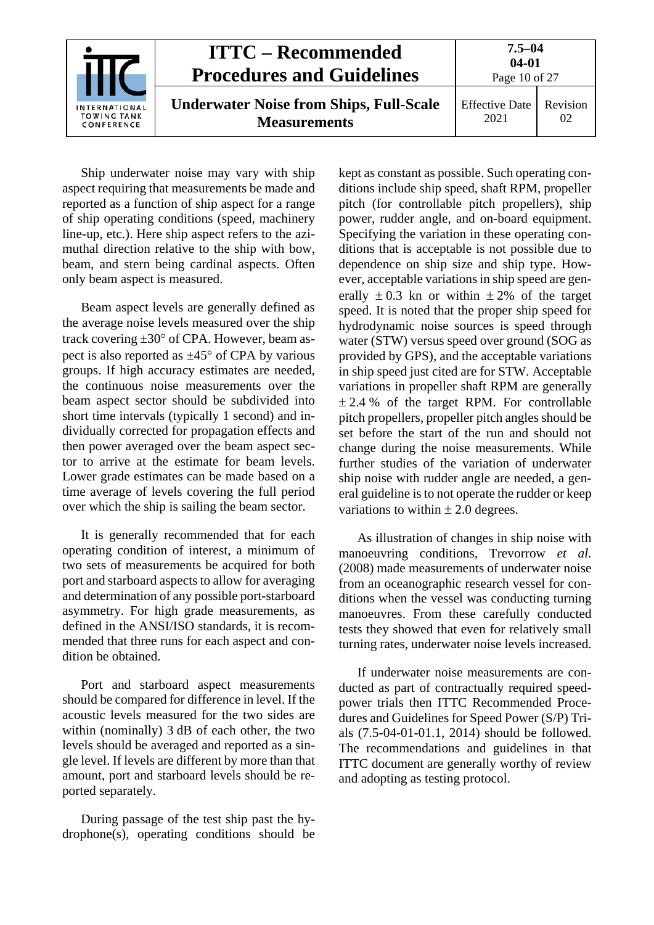|                                                          | <b>ITTC – Recommended</b><br><b>Procedures and Guidelines</b>         | $7.5 - 04$<br>$04 - 01$<br>Page 10 of 27 |                |
|----------------------------------------------------------|-----------------------------------------------------------------------|------------------------------------------|----------------|
| <b>INTERNATIONAL</b><br><b>TOWING TANK</b><br>CONFERENCE | <b>Underwater Noise from Ships, Full-Scale</b><br><b>Measurements</b> | <b>Effective Date</b><br>2021            | Revision<br>02 |

Ship underwater noise may vary with ship aspect requiring that measurements be made and reported as a function of ship aspect for a range of ship operating conditions (speed, machinery line-up, etc.). Here ship aspect refers to the azimuthal direction relative to the ship with bow, beam, and stern being cardinal aspects. Often only beam aspect is measured.

Beam aspect levels are generally defined as the average noise levels measured over the ship track covering ±30° of CPA. However, beam aspect is also reported as  $\pm 45^{\circ}$  of CPA by various groups. If high accuracy estimates are needed, the continuous noise measurements over the beam aspect sector should be subdivided into short time intervals (typically 1 second) and individually corrected for propagation effects and then power averaged over the beam aspect sector to arrive at the estimate for beam levels. Lower grade estimates can be made based on a time average of levels covering the full period over which the ship is sailing the beam sector.

It is generally recommended that for each operating condition of interest, a minimum of two sets of measurements be acquired for both port and starboard aspects to allow for averaging and determination of any possible port-starboard asymmetry. For high grade measurements, as defined in the ANSI/ISO standards, it is recommended that three runs for each aspect and condition be obtained.

Port and starboard aspect measurements should be compared for difference in level. If the acoustic levels measured for the two sides are within (nominally) 3 dB of each other, the two levels should be averaged and reported as a single level. If levels are different by more than that amount, port and starboard levels should be reported separately.

During passage of the test ship past the hydrophone(s), operating conditions should be kept as constant as possible. Such operating conditions include ship speed, shaft RPM, propeller pitch (for controllable pitch propellers), ship power, rudder angle, and on-board equipment. Specifying the variation in these operating conditions that is acceptable is not possible due to dependence on ship size and ship type. However, acceptable variations in ship speed are generally  $\pm 0.3$  kn or within  $\pm 2\%$  of the target speed. It is noted that the proper ship speed for hydrodynamic noise sources is speed through water (STW) versus speed over ground (SOG as provided by GPS), and the acceptable variations in ship speed just cited are for STW. Acceptable variations in propeller shaft RPM are generally  $\pm$  2.4 % of the target RPM. For controllable pitch propellers, propeller pitch angles should be set before the start of the run and should not change during the noise measurements. While further studies of the variation of underwater ship noise with rudder angle are needed, a general guideline is to not operate the rudder or keep variations to within  $\pm 2.0$  degrees.

As illustration of changes in ship noise with manoeuvring conditions, Trevorrow *et al.* (2008) made measurements of underwater noise from an oceanographic research vessel for conditions when the vessel was conducting turning manoeuvres. From these carefully conducted tests they showed that even for relatively small turning rates, underwater noise levels increased.

If underwater noise measurements are conducted as part of contractually required speedpower trials then ITTC Recommended Procedures and Guidelines for Speed Power (S/P) Trials (7.5-04-01-01.1, 2014) should be followed. The recommendations and guidelines in that ITTC document are generally worthy of review and adopting as testing protocol.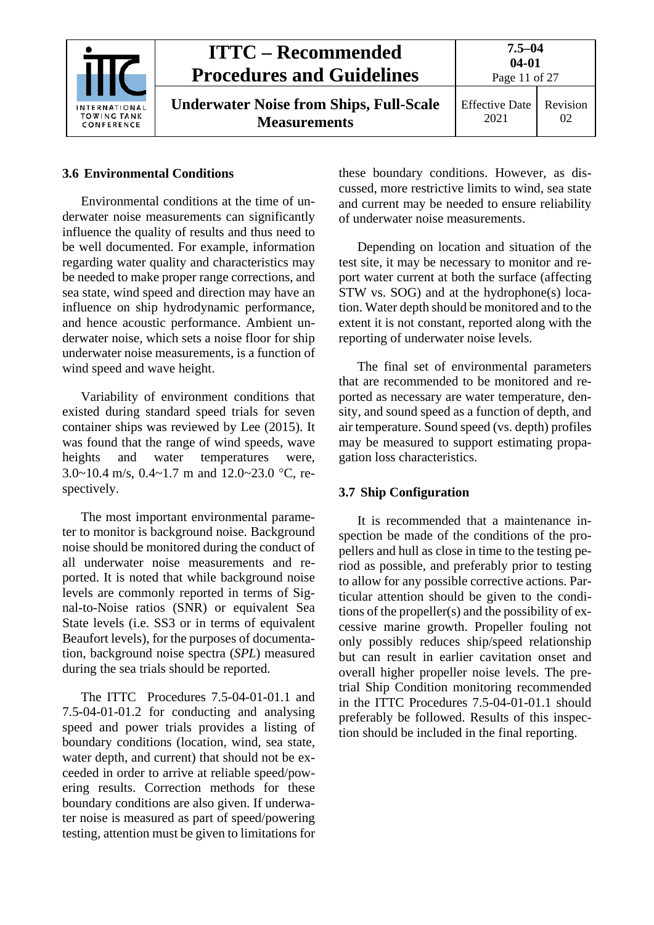

#### <span id="page-10-0"></span>**3.6 Environmental Conditions**

Environmental conditions at the time of underwater noise measurements can significantly influence the quality of results and thus need to be well documented. For example, information regarding water quality and characteristics may be needed to make proper range corrections, and sea state, wind speed and direction may have an influence on ship hydrodynamic performance, and hence acoustic performance. Ambient underwater noise, which sets a noise floor for ship underwater noise measurements, is a function of wind speed and wave height.

Variability of environment conditions that existed during standard speed trials for seven container ships was reviewed by Lee (2015). It was found that the range of wind speeds, wave heights and water temperatures were, 3.0~10.4 m/s, 0.4~1.7 m and 12.0~23.0 °C, respectively.

The most important environmental parameter to monitor is background noise. Background noise should be monitored during the conduct of all underwater noise measurements and reported. It is noted that while background noise levels are commonly reported in terms of Signal-to-Noise ratios (SNR) or equivalent Sea State levels (i.e. SS3 or in terms of equivalent Beaufort levels), for the purposes of documentation, background noise spectra (*SPL*) measured during the sea trials should be reported.

The ITTC Procedures 7.5-04-01-01.1 and 7.5-04-01-01.2 for conducting and analysing speed and power trials provides a listing of boundary conditions (location, wind, sea state, water depth, and current) that should not be exceeded in order to arrive at reliable speed/powering results. Correction methods for these boundary conditions are also given. If underwater noise is measured as part of speed/powering testing, attention must be given to limitations for these boundary conditions. However, as discussed, more restrictive limits to wind, sea state and current may be needed to ensure reliability of underwater noise measurements.

Depending on location and situation of the test site, it may be necessary to monitor and report water current at both the surface (affecting STW vs. SOG) and at the hydrophone(s) location. Water depth should be monitored and to the extent it is not constant, reported along with the reporting of underwater noise levels.

The final set of environmental parameters that are recommended to be monitored and reported as necessary are water temperature, density, and sound speed as a function of depth, and air temperature. Sound speed (vs. depth) profiles may be measured to support estimating propagation loss characteristics.

#### <span id="page-10-1"></span>**3.7 Ship Configuration**

It is recommended that a maintenance inspection be made of the conditions of the propellers and hull as close in time to the testing period as possible, and preferably prior to testing to allow for any possible corrective actions. Particular attention should be given to the conditions of the propeller(s) and the possibility of excessive marine growth. Propeller fouling not only possibly reduces ship/speed relationship but can result in earlier cavitation onset and overall higher propeller noise levels. The pretrial Ship Condition monitoring recommended in the ITTC Procedures 7.5-04-01-01.1 should preferably be followed. Results of this inspection should be included in the final reporting.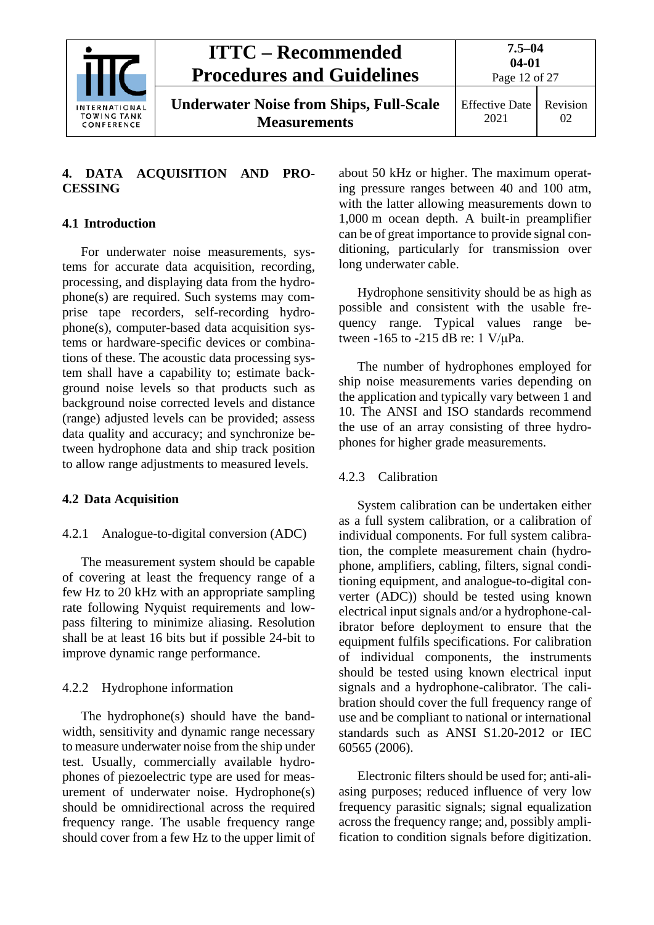

#### <span id="page-11-0"></span>**4. DATA ACQUISITION AND PRO-CESSING**

#### <span id="page-11-1"></span>**4.1 Introduction**

For underwater noise measurements, systems for accurate data acquisition, recording, processing, and displaying data from the hydrophone(s) are required. Such systems may comprise tape recorders, self-recording hydrophone(s), computer-based data acquisition systems or hardware-specific devices or combinations of these. The acoustic data processing system shall have a capability to; estimate background noise levels so that products such as background noise corrected levels and distance (range) adjusted levels can be provided; assess data quality and accuracy; and synchronize between hydrophone data and ship track position to allow range adjustments to measured levels.

#### <span id="page-11-3"></span><span id="page-11-2"></span>**4.2 Data Acquisition**

#### 4.2.1 Analogue-to-digital conversion (ADC)

The measurement system should be capable of covering at least the frequency range of a few Hz to 20 kHz with an appropriate sampling rate following Nyquist requirements and lowpass filtering to minimize aliasing. Resolution shall be at least 16 bits but if possible 24-bit to improve dynamic range performance.

#### <span id="page-11-4"></span>4.2.2 Hydrophone information

The hydrophone(s) should have the bandwidth, sensitivity and dynamic range necessary to measure underwater noise from the ship under test. Usually, commercially available hydrophones of piezoelectric type are used for measurement of underwater noise. Hydrophone(s) should be omnidirectional across the required frequency range. The usable frequency range should cover from a few Hz to the upper limit of about 50 kHz or higher. The maximum operating pressure ranges between 40 and 100 atm, with the latter allowing measurements down to 1,000 m ocean depth. A built-in preamplifier can be of great importance to provide signal conditioning, particularly for transmission over long underwater cable.

Hydrophone sensitivity should be as high as possible and consistent with the usable frequency range. Typical values range between -165 to -215 dB re: 1 V/μPa.

The number of hydrophones employed for ship noise measurements varies depending on the application and typically vary between 1 and 10. The ANSI and ISO standards recommend the use of an array consisting of three hydrophones for higher grade measurements.

#### <span id="page-11-5"></span>4.2.3 Calibration

System calibration can be undertaken either as a full system calibration, or a calibration of individual components. For full system calibration, the complete measurement chain (hydrophone, amplifiers, cabling, filters, signal conditioning equipment, and analogue-to-digital converter (ADC)) should be tested using known electrical input signals and/or a hydrophone-calibrator before deployment to ensure that the equipment fulfils specifications. For calibration of individual components, the instruments should be tested using known electrical input signals and a hydrophone-calibrator. The calibration should cover the full frequency range of use and be compliant to national or international standards such as ANSI S1.20-2012 or IEC 60565 (2006).

Electronic filters should be used for; anti-aliasing purposes; reduced influence of very low frequency parasitic signals; signal equalization across the frequency range; and, possibly amplification to condition signals before digitization.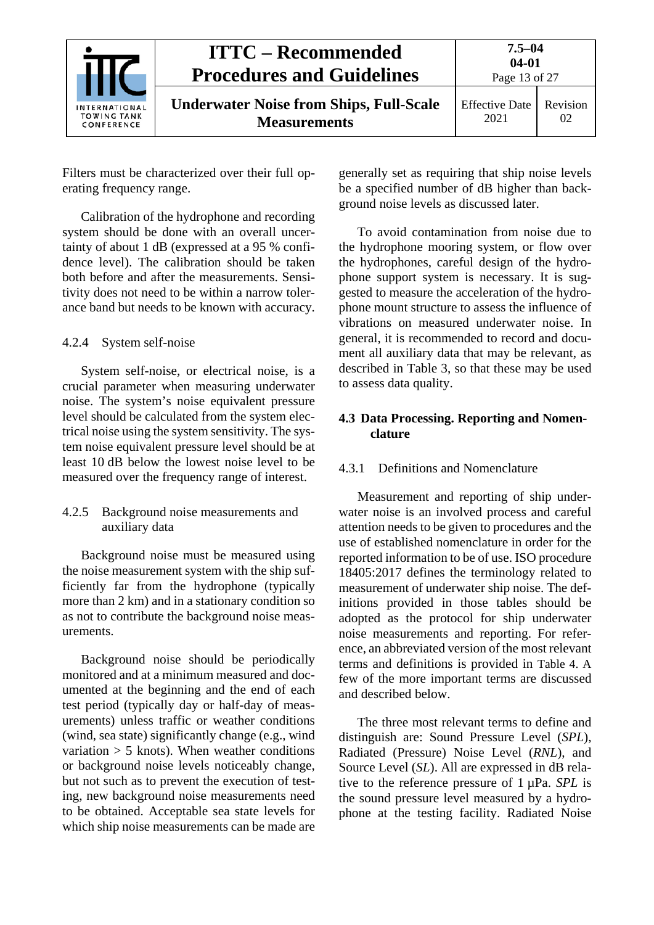|                                                   | <b>ITTC – Recommended</b><br><b>Procedures and Guidelines</b>         | $7.5 - 04$<br>$04 - 01$<br>Page 13 of 27 |                |
|---------------------------------------------------|-----------------------------------------------------------------------|------------------------------------------|----------------|
| <b>INTERNATIONAL</b><br>TOWING TANK<br>CONFERENCE | <b>Underwater Noise from Ships, Full-Scale</b><br><b>Measurements</b> | <b>Effective Date</b><br>2021            | Revision<br>02 |

Filters must be characterized over their full operating frequency range.

Calibration of the hydrophone and recording system should be done with an overall uncertainty of about 1 dB (expressed at a 95 % confidence level). The calibration should be taken both before and after the measurements. Sensitivity does not need to be within a narrow tolerance band but needs to be known with accuracy.

#### <span id="page-12-0"></span>4.2.4 System self-noise

System self-noise, or electrical noise, is a crucial parameter when measuring underwater noise. The system's noise equivalent pressure level should be calculated from the system electrical noise using the system sensitivity. The system noise equivalent pressure level should be at least 10 dB below the lowest noise level to be measured over the frequency range of interest.

#### <span id="page-12-1"></span>4.2.5 Background noise measurements and auxiliary data

Background noise must be measured using the noise measurement system with the ship sufficiently far from the hydrophone (typically more than 2 km) and in a stationary condition so as not to contribute the background noise measurements.

Background noise should be periodically monitored and at a minimum measured and documented at the beginning and the end of each test period (typically day or half-day of measurements) unless traffic or weather conditions (wind, sea state) significantly change (e.g., wind variation  $> 5$  knots). When weather conditions or background noise levels noticeably change, but not such as to prevent the execution of testing, new background noise measurements need to be obtained. Acceptable sea state levels for which ship noise measurements can be made are generally set as requiring that ship noise levels be a specified number of dB higher than background noise levels as discussed later.

To avoid contamination from noise due to the hydrophone mooring system, or flow over the hydrophones, careful design of the hydrophone support system is necessary. It is suggested to measure the acceleration of the hydrophone mount structure to assess the influence of vibrations on measured underwater noise. In general, it is recommended to record and document all auxiliary data that may be relevant, as described in [Table 3,](#page-23-0) so that these may be used to assess data quality.

#### <span id="page-12-2"></span>**4.3 Data Processing. Reporting and Nomenclature**

#### <span id="page-12-3"></span>4.3.1 Definitions and Nomenclature

Measurement and reporting of ship underwater noise is an involved process and careful attention needs to be given to procedures and the use of established nomenclature in order for the reported information to be of use. ISO procedure 18405:2017 defines the terminology related to measurement of underwater ship noise. The definitions provided in those tables should be adopted as the protocol for ship underwater noise measurements and reporting. For reference, an abbreviated version of the most relevant terms and definitions is provided in [Table 4.](#page-25-0) A few of the more important terms are discussed and described below.

The three most relevant terms to define and distinguish are: Sound Pressure Level (*SPL*), Radiated (Pressure) Noise Level (*RNL*), and Source Level (*SL*). All are expressed in dB relative to the reference pressure of 1 µPa. *SPL* is the sound pressure level measured by a hydrophone at the testing facility. Radiated Noise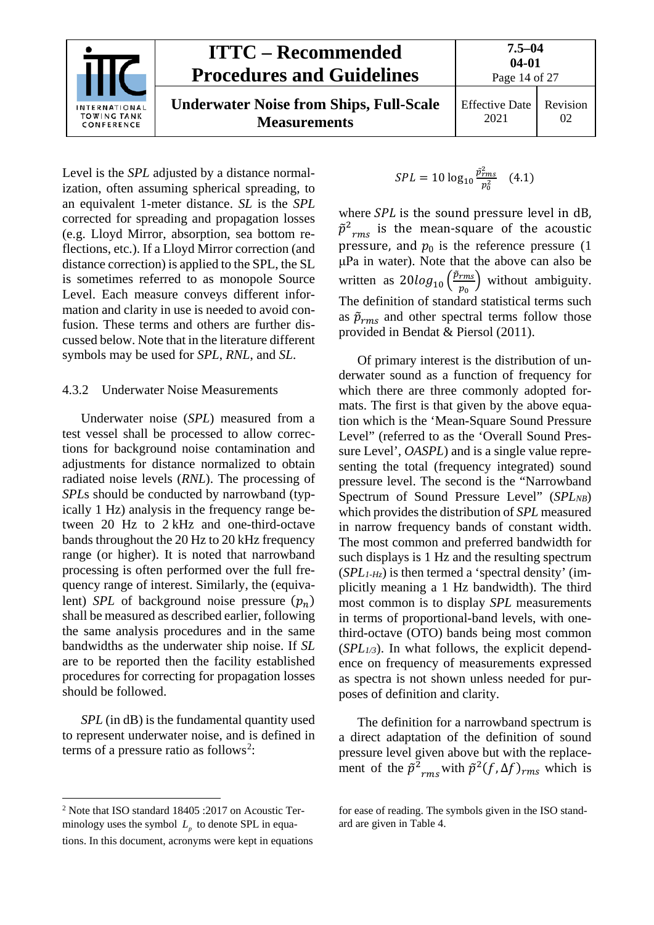

**Underwater Noise from Ships, Full-Scale Measurements**

Effective Date 2021

Revision 02

Level is the *SPL* adjusted by a distance normalization, often assuming spherical spreading, to an equivalent 1-meter distance. *SL* is the *SPL* corrected for spreading and propagation losses (e.g. Lloyd Mirror, absorption, sea bottom reflections, etc.). If a Lloyd Mirror correction (and distance correction) is applied to the SPL, the SL is sometimes referred to as monopole Source Level. Each measure conveys different information and clarity in use is needed to avoid confusion. These terms and others are further discussed below. Note that in the literature different symbols may be used for *SPL*, *RNL*, and *SL*.

#### <span id="page-13-0"></span>4.3.2 Underwater Noise Measurements

Underwater noise (*SPL*) measured from a test vessel shall be processed to allow corrections for background noise contamination and adjustments for distance normalized to obtain radiated noise levels (*RNL*). The processing of *SPL*s should be conducted by narrowband (typically 1 Hz) analysis in the frequency range between 20 Hz to 2 kHz and one-third-octave bands throughout the 20 Hz to 20 kHz frequency range (or higher). It is noted that narrowband processing is often performed over the full frequency range of interest. Similarly, the (equivalent) *SPL* of background noise pressure  $(p_n)$ shall be measured as described earlier, following the same analysis procedures and in the same bandwidths as the underwater ship noise. If *SL* are to be reported then the facility established procedures for correcting for propagation losses should be followed.

*SPL* (in dB) is the fundamental quantity used to represent underwater noise, and is defined in terms of a pressure ratio as follows<sup>[2](#page-13-1)</sup>:

$$
SPL = 10 \log_{10} \frac{\hat{p}_{rms}^2}{p_0^2} \quad (4.1)
$$

where  $SPL$  is the sound pressure level in dB,  $\tilde{p}^2_{rms}$  is the mean-square of the acoustic pressure, and  $p_0$  is the reference pressure (1) μPa in water). Note that the above can also be written as  $20 log_{10} \left(\frac{\dot{p}_{rms}}{p_0}\right)$  $\frac{rms}{p_0}$ ) without ambiguity. The definition of standard statistical terms such as  $\tilde{p}_{rms}$  and other spectral terms follow those provided in Bendat & Piersol (2011).

Of primary interest is the distribution of underwater sound as a function of frequency for which there are three commonly adopted formats. The first is that given by the above equation which is the 'Mean-Square Sound Pressure Level" (referred to as the 'Overall Sound Pressure Level', *OASPL*) and is a single value representing the total (frequency integrated) sound pressure level. The second is the "Narrowband Spectrum of Sound Pressure Level" (*SPL<sub>NB</sub>*) which provides the distribution of *SPL* measured in narrow frequency bands of constant width. The most common and preferred bandwidth for such displays is 1 Hz and the resulting spectrum (*SPL1-Hz*) is then termed a 'spectral density' (implicitly meaning a 1 Hz bandwidth). The third most common is to display *SPL* measurements in terms of proportional-band levels, with onethird-octave (OTO) bands being most common (*SPL1/3*). In what follows, the explicit dependence on frequency of measurements expressed as spectra is not shown unless needed for purposes of definition and clarity.

The definition for a narrowband spectrum is a direct adaptation of the definition of sound pressure level given above but with the replacement of the  $\tilde{p}^2_{rms}$  with  $\tilde{p}^2(f, \Delta f)_{rms}$  which is

<span id="page-13-1"></span> <sup>2</sup> Note that ISO standard 18405 :2017 on Acoustic Terminology uses the symbol  $L<sub>p</sub>$  to denote SPL in equations. In this document, acronyms were kept in equations

for ease of reading. The symbols given in the ISO standard are given in [Table 4.](#page-25-0)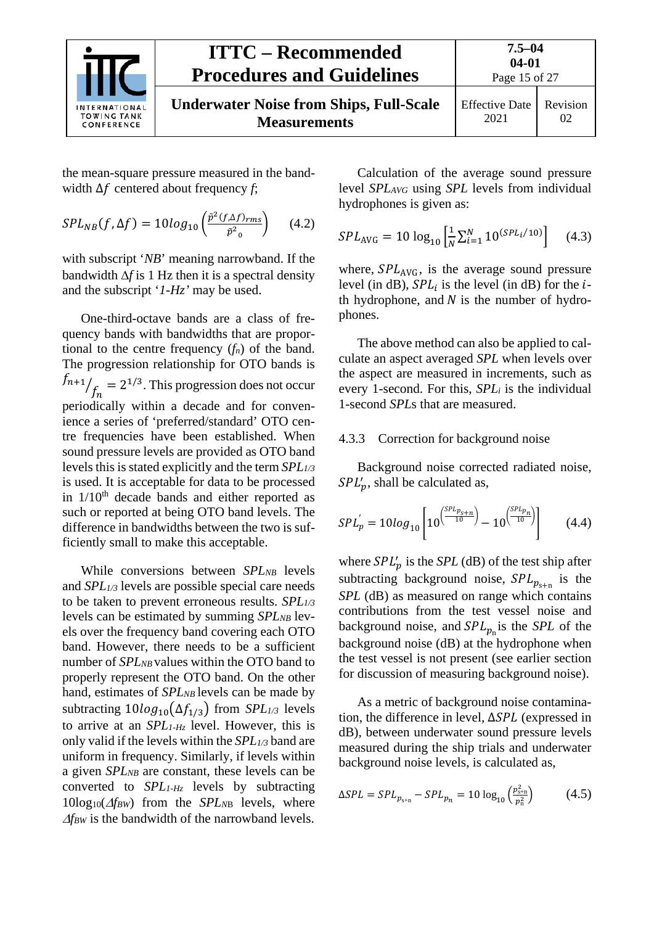

**Measurements**

Page 15 of 27 Effective Date

2021 Revision 02

the mean-square pressure measured in the bandwidth  $\Delta f$  centered about frequency *f*;

$$
SPL_{NB}(f,\Delta f) = 10log_{10}\left(\frac{\tilde{p}^2(f,\Delta f)_{rms}}{\tilde{p}^2_{0}}\right) \quad (4.2)
$$

with subscript '*NB*' meaning narrowband. If the bandwidth ∆*f* is 1 Hz then it is a spectral density and the subscript '*1-Hz'* may be used.

One-third-octave bands are a class of frequency bands with bandwidths that are proportional to the centre frequency  $(f_n)$  of the band. The progression relationship for OTO bands is  $\left| \frac{f_{n+1}}{f_n} \right| = 2^{1/3}$ . This progression does not occur periodically within a decade and for convenience a series of 'preferred/standard' OTO centre frequencies have been established. When sound pressure levels are provided as OTO band levels this is stated explicitly and the term *SPL1/3* is used. It is acceptable for data to be processed in  $1/10<sup>th</sup>$  decade bands and either reported as such or reported at being OTO band levels. The difference in bandwidths between the two is sufficiently small to make this acceptable.

While conversions between *SPLNB* levels and *SPL1/3* levels are possible special care needs to be taken to prevent erroneous results. *SPL1/3* levels can be estimated by summing *SPLNB* levels over the frequency band covering each OTO band. However, there needs to be a sufficient number of *SPLNB* values within the OTO band to properly represent the OTO band. On the other hand, estimates of *SPLNB* levels can be made by subtracting  $10log_{10}(\Delta f_{1/3})$  from *SPL<sub>1/3</sub>* levels to arrive at an *SPL1-Hz* level. However, this is only valid if the levels within the *SPL1/3* band are uniform in frequency. Similarly, if levels within a given *SPLNB* are constant, these levels can be converted to *SPL1-Hz* levels by subtracting 10log10(∆*fBW*) from the *SPLN*<sup>B</sup> levels, where <sup>∆</sup>*fBW* is the bandwidth of the narrowband levels.

Calculation of the average sound pressure level *SPLAVG* using *SPL* levels from individual hydrophones is given as:

$$
SPL_{\text{AVG}} = 10 \log_{10} \left[ \frac{1}{N} \sum_{i=1}^{N} 10^{(SPL_i/10)} \right] \quad (4.3)
$$

where,  $SPL_{AVG}$ , is the average sound pressure level (in dB),  $SPL_i$  is the level (in dB) for the *i*th hydrophone, and  $N$  is the number of hydrophones.

The above method can also be applied to calculate an aspect averaged *SPL* when levels over the aspect are measured in increments, such as every 1-second. For this, *SPLi* is the individual 1-second *SPL*s that are measured.

#### <span id="page-14-0"></span>4.3.3 Correction for background noise

Background noise corrected radiated noise,  $SPL'_p$ , shall be calculated as,

$$
SPLp' = 10log10 \left[ 10^{\left( \frac{SPL_{p_{s+n}}}{10} \right)} - 10^{\left( \frac{SPL_{p_n}}{10} \right)} \right]
$$
 (4.4)

where  $SPL'_p$  is the  $SPL$  (dB) of the test ship after subtracting background noise,  $SPL_{p_{s+n}}$  is the *SPL* (dB) as measured on range which contains contributions from the test vessel noise and background noise, and  $SPL_{p_n}$  is the *SPL* of the background noise (dB) at the hydrophone when the test vessel is not present (see earlier section for discussion of measuring background noise).

As a metric of background noise contamination, the difference in level,  $\Delta SPL$  (expressed in dB), between underwater sound pressure levels measured during the ship trials and underwater background noise levels, is calculated as,

$$
\Delta SPL = SPL_{p_{s+n}} - SPL_{p_n} = 10 \log_{10} \left( \frac{p_{s+n}^2}{p_n^2} \right) \tag{4.5}
$$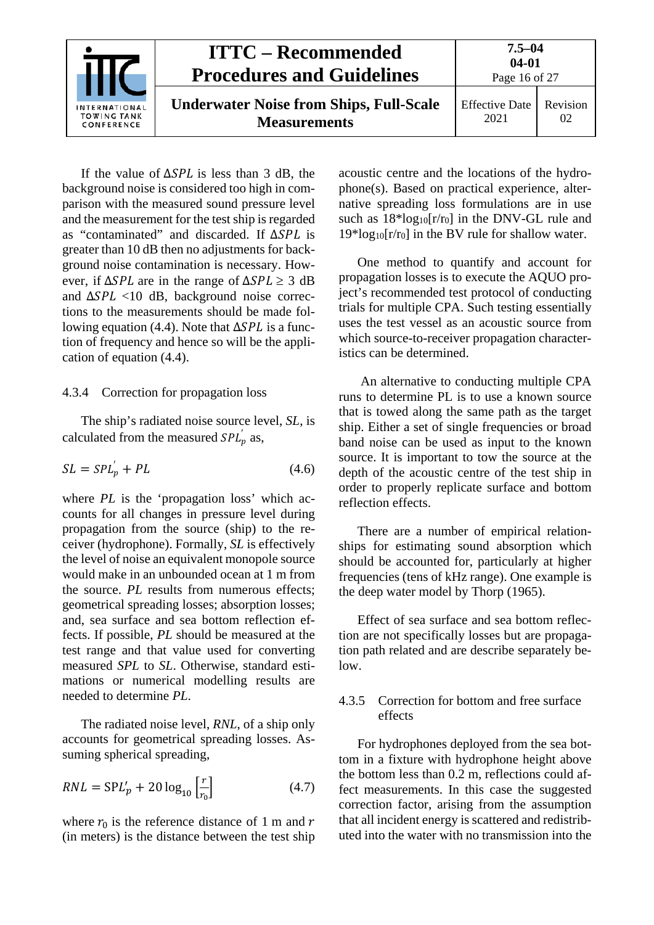|                                                   | <b>ITTC – Recommended</b><br><b>Procedures and Guidelines</b>         | $7.5 - 04$<br>$04 - 01$<br>Page 16 of 27 |                |
|---------------------------------------------------|-----------------------------------------------------------------------|------------------------------------------|----------------|
| <b>INTERNATIONAL</b><br>TOWING TANK<br>CONFERENCE | <b>Underwater Noise from Ships, Full-Scale</b><br><b>Measurements</b> | <b>Effective Date</b><br>2021            | Revision<br>02 |

If the value of  $\Delta SPL$  is less than 3 dB, the background noise is considered too high in comparison with the measured sound pressure level and the measurement for the test ship is regarded as "contaminated" and discarded. If  $\triangle SPL$  is greater than 10 dB then no adjustments for background noise contamination is necessary. However, if  $\Delta SPL$  are in the range of  $\Delta SPL \geq 3$  dB and  $\Delta SPL$  <10 dB, background noise corrections to the measurements should be made following equation (4.4). Note that  $\Delta SPL$  is a function of frequency and hence so will be the application of equation (4.4).

#### <span id="page-15-0"></span>4.3.4 Correction for propagation loss

The ship's radiated noise source level, *SL*, is calculated from the measured  $SPL_p$  as,

$$
SL = SPL_p' + PL \tag{4.6}
$$

where *PL* is the 'propagation loss' which accounts for all changes in pressure level during propagation from the source (ship) to the receiver (hydrophone). Formally, *SL* is effectively the level of noise an equivalent monopole source would make in an unbounded ocean at 1 m from the source. *PL* results from numerous effects; geometrical spreading losses; absorption losses; and, sea surface and sea bottom reflection effects. If possible, *PL* should be measured at the test range and that value used for converting measured *SPL* to *SL*. Otherwise, standard estimations or numerical modelling results are needed to determine *PL*.

The radiated noise level, *RNL*, of a ship only accounts for geometrical spreading losses. Assuming spherical spreading,

$$
RNL = \text{SP}L_p' + 20\log_{10}\left[\frac{r}{r_0}\right] \tag{4.7}
$$

where  $r_0$  is the reference distance of 1 m and r (in meters) is the distance between the test ship acoustic centre and the locations of the hydrophone(s). Based on practical experience, alternative spreading loss formulations are in use such as  $18*log_{10}[r/r_0]$  in the DNV-GL rule and  $19*log_{10}[r/r_0]$  in the BV rule for shallow water.

One method to quantify and account for propagation losses is to execute the AQUO project's recommended test protocol of conducting trials for multiple CPA. Such testing essentially uses the test vessel as an acoustic source from which source-to-receiver propagation characteristics can be determined.

An alternative to conducting multiple CPA runs to determine PL is to use a known source that is towed along the same path as the target ship. Either a set of single frequencies or broad band noise can be used as input to the known source. It is important to tow the source at the depth of the acoustic centre of the test ship in order to properly replicate surface and bottom reflection effects.

There are a number of empirical relationships for estimating sound absorption which should be accounted for, particularly at higher frequencies (tens of kHz range). One example is the deep water model by Thorp (1965).

Effect of sea surface and sea bottom reflection are not specifically losses but are propagation path related and are describe separately below.

#### <span id="page-15-1"></span>4.3.5 Correction for bottom and free surface effects

For hydrophones deployed from the sea bottom in a fixture with hydrophone height above the bottom less than 0.2 m, reflections could affect measurements. In this case the suggested correction factor, arising from the assumption that all incident energy is scattered and redistributed into the water with no transmission into the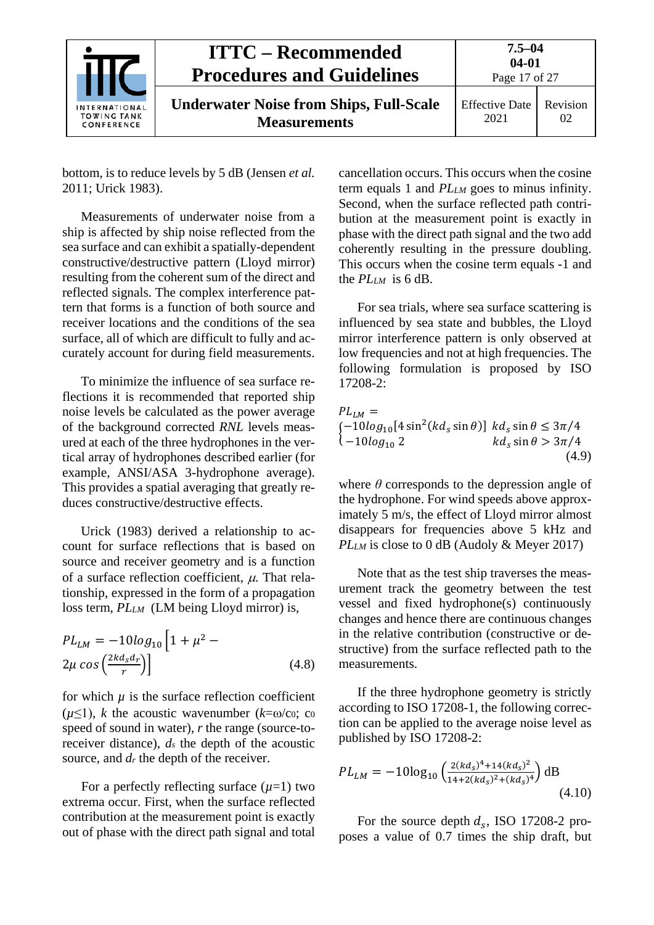|                                                   | <b>ITTC – Recommended</b><br><b>Procedures and Guidelines</b>         | $7.5 - 04$<br>$04 - 01$<br>Page 17 of 27 |                |
|---------------------------------------------------|-----------------------------------------------------------------------|------------------------------------------|----------------|
| <b>INTERNATIONAL</b><br>TOWING TANK<br>CONFERENCE | <b>Underwater Noise from Ships, Full-Scale</b><br><b>Measurements</b> | <b>Effective Date</b><br>2021            | Revision<br>02 |

bottom, is to reduce levels by 5 dB (Jensen *et al.* 2011; Urick 1983).

Measurements of underwater noise from a ship is affected by ship noise reflected from the sea surface and can exhibit a spatially-dependent constructive/destructive pattern (Lloyd mirror) resulting from the coherent sum of the direct and reflected signals. The complex interference pattern that forms is a function of both source and receiver locations and the conditions of the sea surface, all of which are difficult to fully and accurately account for during field measurements.

To minimize the influence of sea surface reflections it is recommended that reported ship noise levels be calculated as the power average of the background corrected *RNL* levels measured at each of the three hydrophones in the vertical array of hydrophones described earlier (for example, ANSI/ASA 3-hydrophone average). This provides a spatial averaging that greatly reduces constructive/destructive effects.

Urick (1983) derived a relationship to account for surface reflections that is based on source and receiver geometry and is a function of a surface reflection coefficient,  $\mu$ . That relationship, expressed in the form of a propagation loss term, *PLLM* (LM being Lloyd mirror) is,

$$
PL_{LM} = -10log_{10}\left[1 + \mu^2 - 2\mu \cos\left(\frac{2kd_s d_r}{r}\right)\right]
$$
\n(4.8)

for which  $\mu$  is the surface reflection coefficient  $(\mu \leq 1)$ , *k* the acoustic wavenumber  $(k=\omega/c_0; c_0)$ speed of sound in water), *r* the range (source-toreceiver distance), *ds* the depth of the acoustic source, and  $d_r$  the depth of the receiver.

For a perfectly reflecting surface  $(\mu=1)$  two extrema occur. First, when the surface reflected contribution at the measurement point is exactly out of phase with the direct path signal and total cancellation occurs. This occurs when the cosine term equals 1 and *PLLM* goes to minus infinity. Second, when the surface reflected path contribution at the measurement point is exactly in phase with the direct path signal and the two add coherently resulting in the pressure doubling. This occurs when the cosine term equals -1 and the *PLLM* is 6 dB.

For sea trials, where sea surface scattering is influenced by sea state and bubbles, the Lloyd mirror interference pattern is only observed at low frequencies and not at high frequencies. The following formulation is proposed by ISO  $17208 - 2:$ 

$$
PL_{LM} =
$$
\n
$$
\begin{aligned}\n[-10\log_{10}[4\sin^2(kd_s\sin\theta)] & kd_s\sin\theta \le 3\pi/4 \\
(-10\log_{10}2 & kd_s\sin\theta > 3\pi/4 \\
(4.9)\n\end{aligned}
$$

where  $\theta$  corresponds to the depression angle of the hydrophone. For wind speeds above approximately 5 m/s, the effect of Lloyd mirror almost disappears for frequencies above 5 kHz and *PLLM* is close to 0 dB (Audoly & Meyer 2017)

Note that as the test ship traverses the measurement track the geometry between the test vessel and fixed hydrophone(s) continuously changes and hence there are continuous changes in the relative contribution (constructive or destructive) from the surface reflected path to the measurements.

If the three hydrophone geometry is strictly according to ISO 17208-1, the following correction can be applied to the average noise level as published by ISO 17208-2:

$$
PL_{LM} = -10\log_{10}\left(\frac{2(kd_s)^4 + 14(kd_s)^2}{14 + 2(kd_s)^2 + (kd_s)^4}\right) \text{dB}
$$
\n(4.10)

For the source depth  $d_s$ , ISO 17208-2 proposes a value of 0.7 times the ship draft, but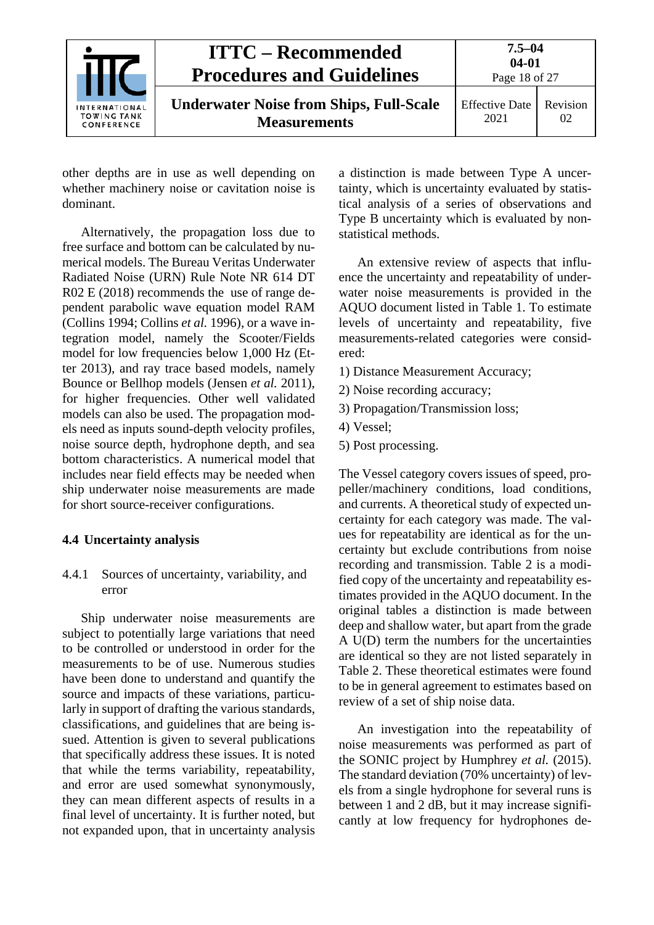|                                                          | <b>ITTC – Recommended</b><br><b>Procedures and Guidelines</b>         | $7.5 - 04$<br>$04 - 01$<br>Page 18 of 27 |                |
|----------------------------------------------------------|-----------------------------------------------------------------------|------------------------------------------|----------------|
| <b>INTERNATIONAL</b><br><b>TOWING TANK</b><br>CONFERENCE | <b>Underwater Noise from Ships, Full-Scale</b><br><b>Measurements</b> | <b>Effective Date</b><br>2021            | Revision<br>02 |

other depths are in use as well depending on whether machinery noise or cavitation noise is dominant.

Alternatively, the propagation loss due to free surface and bottom can be calculated by numerical models. The Bureau Veritas Underwater Radiated Noise (URN) Rule Note NR 614 DT R02 E (2018) recommends the use of range dependent parabolic wave equation model RAM (Collins 1994; Collins *et al.* 1996), or a wave integration model, namely the Scooter/Fields model for low frequencies below 1,000 Hz (Etter 2013), and ray trace based models, namely Bounce or Bellhop models (Jensen *et al.* 2011), for higher frequencies. Other well validated models can also be used. The propagation models need as inputs sound-depth velocity profiles, noise source depth, hydrophone depth, and sea bottom characteristics. A numerical model that includes near field effects may be needed when ship underwater noise measurements are made for short source-receiver configurations.

#### <span id="page-17-1"></span><span id="page-17-0"></span>**4.4 Uncertainty analysis**

4.4.1 Sources of uncertainty, variability, and error

Ship underwater noise measurements are subject to potentially large variations that need to be controlled or understood in order for the measurements to be of use. Numerous studies have been done to understand and quantify the source and impacts of these variations, particularly in support of drafting the various standards, classifications, and guidelines that are being issued. Attention is given to several publications that specifically address these issues. It is noted that while the terms variability, repeatability, and error are used somewhat synonymously, they can mean different aspects of results in a final level of uncertainty. It is further noted, but not expanded upon, that in uncertainty analysis a distinction is made between Type A uncertainty, which is uncertainty evaluated by statistical analysis of a series of observations and Type B uncertainty which is evaluated by nonstatistical methods.

An extensive review of aspects that influence the uncertainty and repeatability of underwater noise measurements is provided in the AQUO document listed in [Table 1.](#page-2-2) To estimate levels of uncertainty and repeatability, five measurements-related categories were considered:

- 1) Distance Measurement Accuracy;
- 2) Noise recording accuracy;
- 3) Propagation/Transmission loss;
- 4) Vessel;
- 5) Post processing.

The Vessel category covers issues of speed, propeller/machinery conditions, load conditions, and currents. A theoretical study of expected uncertainty for each category was made. The values for repeatability are identical as for the uncertainty but exclude contributions from noise recording and transmission. [Table 2](#page-22-0) is a modified copy of the uncertainty and repeatability estimates provided in the AQUO document. In the original tables a distinction is made between deep and shallow water, but apart from the grade A U(D) term the numbers for the uncertainties are identical so they are not listed separately in [Table 2.](#page-22-0) These theoretical estimates were found to be in general agreement to estimates based on review of a set of ship noise data.

An investigation into the repeatability of noise measurements was performed as part of the SONIC project by Humphrey *et al.* (2015). The standard deviation (70% uncertainty) of levels from a single hydrophone for several runs is between 1 and 2 dB, but it may increase significantly at low frequency for hydrophones de-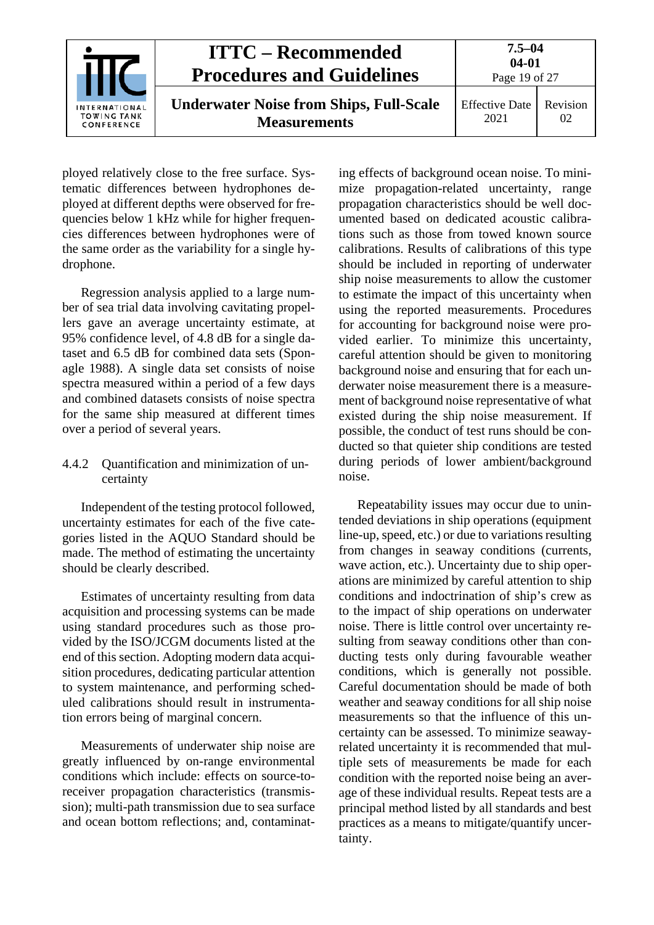|                                                   | <b>ITTC – Recommended</b><br><b>Procedures and Guidelines</b>         | $7.5 - 04$<br>$04 - 01$<br>Page 19 of 27 |                |
|---------------------------------------------------|-----------------------------------------------------------------------|------------------------------------------|----------------|
| <b>INTERNATIONAL</b><br>TOWING TANK<br>CONFERENCE | <b>Underwater Noise from Ships, Full-Scale</b><br><b>Measurements</b> | <b>Effective Date</b><br>2021            | Revision<br>02 |

ployed relatively close to the free surface. Systematic differences between hydrophones deployed at different depths were observed for frequencies below 1 kHz while for higher frequencies differences between hydrophones were of the same order as the variability for a single hydrophone.

Regression analysis applied to a large number of sea trial data involving cavitating propellers gave an average uncertainty estimate, at 95% confidence level, of 4.8 dB for a single dataset and 6.5 dB for combined data sets (Sponagle 1988). A single data set consists of noise spectra measured within a period of a few days and combined datasets consists of noise spectra for the same ship measured at different times over a period of several years.

#### <span id="page-18-0"></span>4.4.2 Quantification and minimization of uncertainty

Independent of the testing protocol followed, uncertainty estimates for each of the five categories listed in the AQUO Standard should be made. The method of estimating the uncertainty should be clearly described.

Estimates of uncertainty resulting from data acquisition and processing systems can be made using standard procedures such as those provided by the ISO/JCGM documents listed at the end of this section. Adopting modern data acquisition procedures, dedicating particular attention to system maintenance, and performing scheduled calibrations should result in instrumentation errors being of marginal concern.

Measurements of underwater ship noise are greatly influenced by on-range environmental conditions which include: effects on source-toreceiver propagation characteristics (transmission); multi-path transmission due to sea surface and ocean bottom reflections; and, contaminating effects of background ocean noise. To minimize propagation-related uncertainty, range propagation characteristics should be well documented based on dedicated acoustic calibrations such as those from towed known source calibrations. Results of calibrations of this type should be included in reporting of underwater ship noise measurements to allow the customer to estimate the impact of this uncertainty when using the reported measurements. Procedures for accounting for background noise were provided earlier. To minimize this uncertainty, careful attention should be given to monitoring background noise and ensuring that for each underwater noise measurement there is a measurement of background noise representative of what existed during the ship noise measurement. If possible, the conduct of test runs should be conducted so that quieter ship conditions are tested during periods of lower ambient/background noise.

Repeatability issues may occur due to unintended deviations in ship operations (equipment line-up, speed, etc.) or due to variations resulting from changes in seaway conditions (currents, wave action, etc.). Uncertainty due to ship operations are minimized by careful attention to ship conditions and indoctrination of ship's crew as to the impact of ship operations on underwater noise. There is little control over uncertainty resulting from seaway conditions other than conducting tests only during favourable weather conditions, which is generally not possible. Careful documentation should be made of both weather and seaway conditions for all ship noise measurements so that the influence of this uncertainty can be assessed. To minimize seawayrelated uncertainty it is recommended that multiple sets of measurements be made for each condition with the reported noise being an average of these individual results. Repeat tests are a principal method listed by all standards and best practices as a means to mitigate/quantify uncertainty.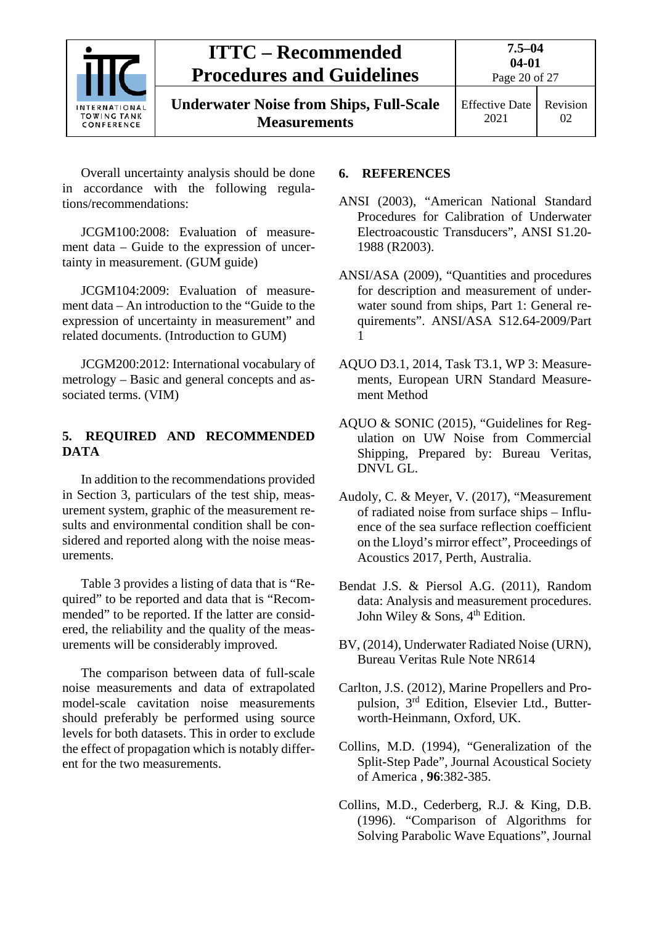

**Underwater Noise from Ships, Full-Scale Measurements**

Effective Date

2021

Revision 02

Overall uncertainty analysis should be done in accordance with the following regulations/recommendations:

JCGM100:2008: Evaluation of measurement data – Guide to the expression of uncertainty in measurement. (GUM guide)

JCGM104:2009: Evaluation of measurement data – An introduction to the "Guide to the expression of uncertainty in measurement" and related documents. (Introduction to GUM)

JCGM200:2012: International vocabulary of metrology – Basic and general concepts and associated terms. (VIM)

#### <span id="page-19-0"></span>**5. REQUIRED AND RECOMMENDED DATA**

In addition to the recommendations provided in Section 3, particulars of the test ship, measurement system, graphic of the measurement results and environmental condition shall be considered and reported along with the noise measurements.

[Table 3](#page-23-0) provides a listing of data that is "Required" to be reported and data that is "Recommended" to be reported. If the latter are considered, the reliability and the quality of the measurements will be considerably improved.

The comparison between data of full-scale noise measurements and data of extrapolated model-scale cavitation noise measurements should preferably be performed using source levels for both datasets. This in order to exclude the effect of propagation which is notably different for the two measurements.

#### <span id="page-19-1"></span>**6. REFERENCES**

- ANSI (2003), "American National Standard Procedures for Calibration of Underwater Electroacoustic Transducers", ANSI S1.20- 1988 (R2003).
- ANSI/ASA (2009), "Quantities and procedures for description and measurement of underwater sound from ships, Part 1: General requirements". ANSI/ASA S12.64-2009/Part 1
- AQUO D3.1, 2014, Task T3.1, WP 3: Measurements, European URN Standard Measurement Method
- AQUO & SONIC (2015), "Guidelines for Regulation on UW Noise from Commercial Shipping, Prepared by: Bureau Veritas, DNVL GL.
- Audoly, C. & Meyer, V. (2017), "Measurement of radiated noise from surface ships – Influence of the sea surface reflection coefficient on the Lloyd's mirror effect", Proceedings of Acoustics 2017, Perth, Australia.
- Bendat J.S. & Piersol A.G. (2011), Random data: Analysis and measurement procedures. John Wiley & Sons,  $4<sup>th</sup>$  Edition.
- BV, (2014), Underwater Radiated Noise (URN), Bureau Veritas Rule Note NR614
- Carlton, J.S. (2012), Marine Propellers and Propulsion, 3rd Edition, Elsevier Ltd., Butterworth-Heinmann, Oxford, UK.
- Collins, M.D. (1994), "Generalization of the Split-Step Pade", Journal Acoustical Society of America , **96**:382-385.
- Collins, M.D., Cederberg, R.J. & King, D.B. (1996). "Comparison of Algorithms for Solving Parabolic Wave Equations", Journal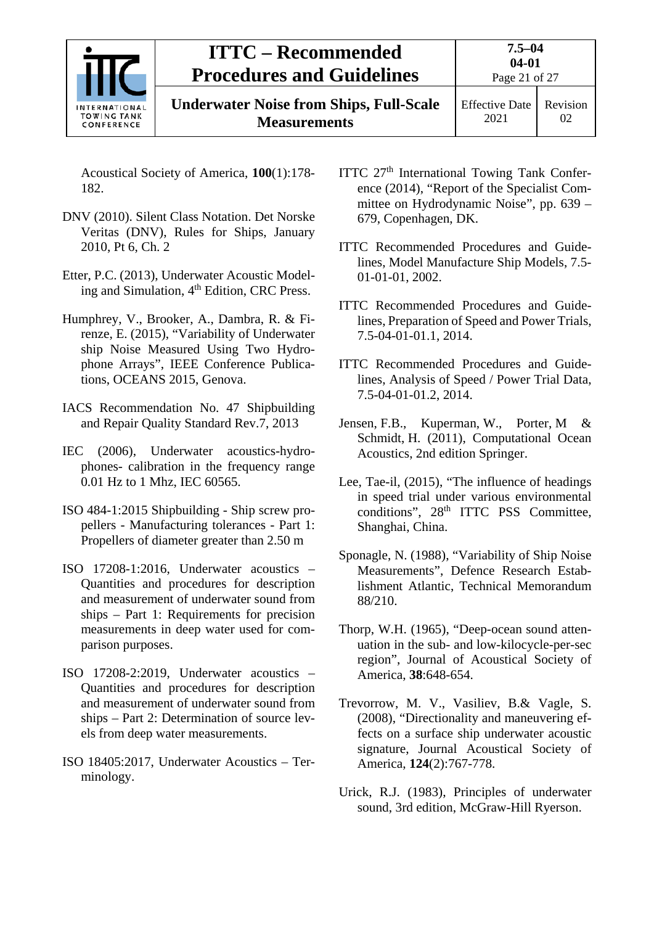

**Underwater Noise from Ships, Full-Scale Measurements**

Acoustical Society of America, **100**(1):178- 182.

- DNV (2010). Silent Class Notation. Det Norske Veritas (DNV), Rules for Ships, January 2010, Pt 6, Ch. 2
- Etter, P.C. (2013), Underwater Acoustic Modeling and Simulation, 4th Edition, CRC Press.
- Humphrey, V., Brooker, A., Dambra, R. & Firenze, E. (2015), "Variability of Underwater ship Noise Measured Using Two Hydrophone Arrays", IEEE Conference Publications, OCEANS 2015, Genova.
- IACS Recommendation No. 47 Shipbuilding and Repair Quality Standard Rev.7, 2013
- IEC (2006), Underwater acoustics-hydrophones- calibration in the frequency range 0.01 Hz to 1 Mhz, IEC 60565.
- ISO 484-1:2015 Shipbuilding Ship screw propellers - Manufacturing tolerances - Part 1: Propellers of diameter greater than 2.50 m
- ISO 17208-1:2016, Underwater acoustics Quantities and procedures for description and measurement of underwater sound from ships – Part 1: Requirements for precision measurements in deep water used for comparison purposes.
- ISO 17208-2:2019, Underwater acoustics Quantities and procedures for description and measurement of underwater sound from ships – Part 2: Determination of source levels from deep water measurements.
- ISO 18405:2017, Underwater Acoustics Terminology.
- ITTC 27<sup>th</sup> International Towing Tank Conference (2014), "Report of the Specialist Committee on Hydrodynamic Noise", pp. 639 – 679, Copenhagen, DK.
- ITTC Recommended Procedures and Guidelines, Model Manufacture Ship Models, 7.5- 01-01-01, 2002.
- ITTC Recommended Procedures and Guidelines, Preparation of Speed and Power Trials, 7.5-04-01-01.1, 2014.
- ITTC Recommended Procedures and Guidelines, Analysis of Speed / Power Trial Data, 7.5-04-01-01.2, 2014.
- Jensen, F.B., Kuperman, W., Porter, M & Schmidt, H. (2011), Computational Ocean Acoustics, 2nd edition Springer.
- Lee, Tae-il, (2015), "The influence of headings in speed trial under various environmental conditions", 28<sup>th</sup> ITTC PSS Committee, Shanghai, China.
- Sponagle, N. (1988), "Variability of Ship Noise Measurements", Defence Research Establishment Atlantic, Technical Memorandum 88/210.
- Thorp, W.H. (1965), "Deep-ocean sound attenuation in the sub- and low-kilocycle-per-sec region", Journal of Acoustical Society of America, **38**:648-654.
- Trevorrow, M. V., Vasiliev, B.& Vagle, S. (2008), "Directionality and maneuvering effects on a surface ship underwater acoustic signature, Journal Acoustical Society of America, **124**(2):767-778.
- Urick, R.J. (1983), Principles of underwater sound, 3rd edition, McGraw-Hill Ryerson.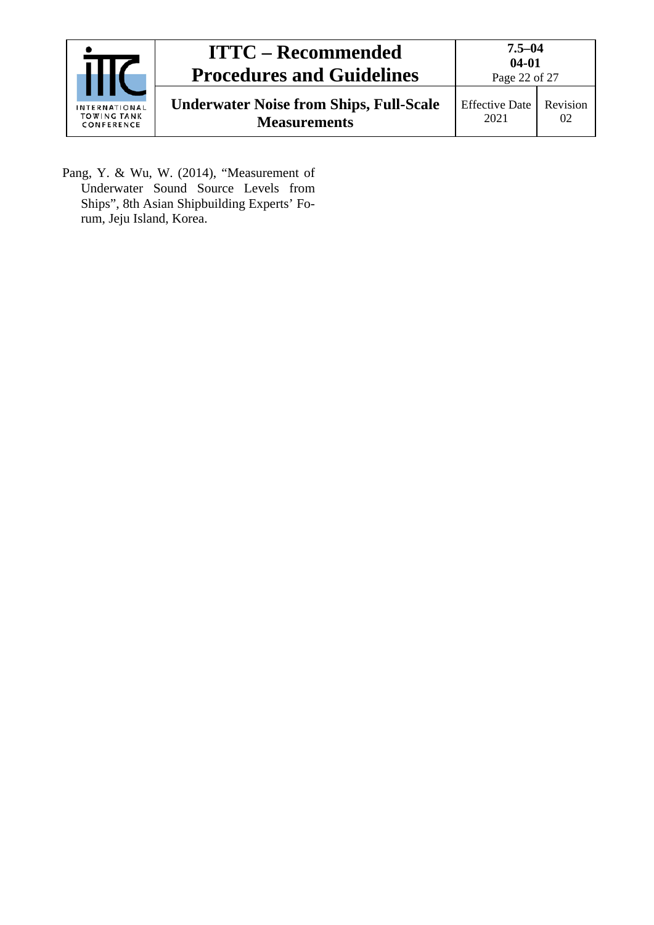|                                                   | <b>ITTC – Recommended</b><br><b>Procedures and Guidelines</b>         | $7.5 - 04$<br>$04 - 01$<br>Page 22 of 27 |                |
|---------------------------------------------------|-----------------------------------------------------------------------|------------------------------------------|----------------|
| <b>INTERNATIONAL</b><br>TOWING TANK<br>CONFERENCE | <b>Underwater Noise from Ships, Full-Scale</b><br><b>Measurements</b> | <b>Effective Date</b><br>2021            | Revision<br>02 |

Pang, Y. & Wu, W. (2014), "Measurement of Underwater Sound Source Levels from Ships", 8th Asian Shipbuilding Experts' Forum, Jeju Island, Korea.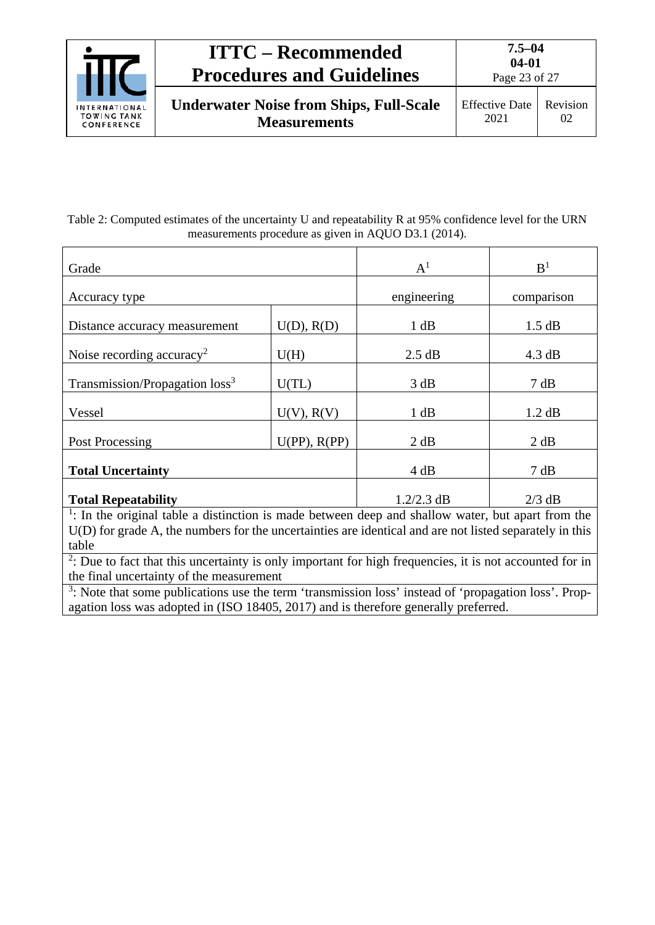

**Underwater Noise from Ships, Full-Scale Measurements**

#### <span id="page-22-0"></span>Table 2: Computed estimates of the uncertainty U and repeatability R at 95% confidence level for the URN measurements procedure as given in AQUO D3.1 (2014).

| Grade                                                                                                          | $A^1$             | B <sup>1</sup> |            |  |  |
|----------------------------------------------------------------------------------------------------------------|-------------------|----------------|------------|--|--|
| Accuracy type                                                                                                  |                   | engineering    | comparison |  |  |
| Distance accuracy measurement                                                                                  | U(D), R(D)        | 1 dB           | 1.5 dB     |  |  |
| Noise recording accuracy <sup>2</sup>                                                                          | U(H)              | 2.5 dB         | 4.3 dB     |  |  |
| Transmission/Propagation loss <sup>3</sup>                                                                     | U(TL)             | 3 dB           | 7 dB       |  |  |
| Vessel                                                                                                         | $U(V)$ , $R(V)$   | 1 dB           | 1.2 dB     |  |  |
| Post Processing                                                                                                | $U(PP)$ , $R(PP)$ | 2 dB           | 2 dB       |  |  |
| <b>Total Uncertainty</b>                                                                                       | 4 dB              | 7 dB           |            |  |  |
| <b>Total Repeatability</b>                                                                                     | $1.2/2.3$ dB      | $2/3$ dB       |            |  |  |
| $\frac{1}{1}$ : In the original table a distinction is made between deep and shallow water, but apart from the |                   |                |            |  |  |
| U(D) for grade A, the numbers for the uncertainties are identical and are not listed separately in this        |                   |                |            |  |  |

table

 $2$ : Due to fact that this uncertainty is only important for high frequencies, it is not accounted for in the final uncertainty of the measurement

<sup>3</sup>: Note that some publications use the term 'transmission loss' instead of 'propagation loss'. Propagation loss was adopted in (ISO 18405, 2017) and is therefore generally preferred.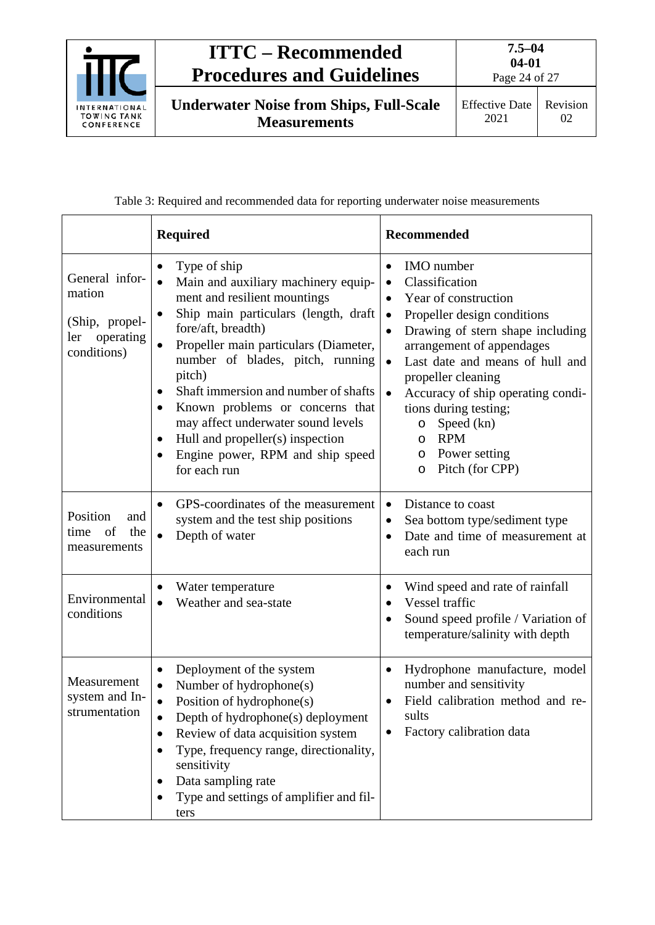

Page 24 of 27

**Underwater Noise from Ships, Full-Scale Measurements**

Table 3: Required and recommended data for reporting underwater noise measurements

<span id="page-23-0"></span>

|                                                                               | <b>Required</b>                                                                                                                                                                                                                                                                                                                                                                                                                                                                               | <b>Recommended</b>                                                                                                                                                                                                                                                                                                                                                                                                                                                            |  |
|-------------------------------------------------------------------------------|-----------------------------------------------------------------------------------------------------------------------------------------------------------------------------------------------------------------------------------------------------------------------------------------------------------------------------------------------------------------------------------------------------------------------------------------------------------------------------------------------|-------------------------------------------------------------------------------------------------------------------------------------------------------------------------------------------------------------------------------------------------------------------------------------------------------------------------------------------------------------------------------------------------------------------------------------------------------------------------------|--|
| General infor-<br>mation<br>(Ship, propel-<br>operating<br>ler<br>conditions) | Type of ship<br>Main and auxiliary machinery equip-<br>$\bullet$<br>ment and resilient mountings<br>Ship main particulars (length, draft<br>$\bullet$<br>fore/aft, breadth)<br>Propeller main particulars (Diameter,<br>number of blades, pitch, running<br>pitch)<br>Shaft immersion and number of shafts<br>Known problems or concerns that<br>$\bullet$<br>may affect underwater sound levels<br>Hull and propeller(s) inspection<br>٠<br>Engine power, RPM and ship speed<br>for each run | <b>IMO</b> number<br>$\bullet$<br>Classification<br>$\bullet$<br>Year of construction<br>$\bullet$<br>Propeller design conditions<br>$\bullet$<br>Drawing of stern shape including<br>$\bullet$<br>arrangement of appendages<br>Last date and means of hull and<br>$\bullet$<br>propeller cleaning<br>Accuracy of ship operating condi-<br>$\bullet$<br>tions during testing;<br>Speed (kn)<br>$\circ$<br><b>RPM</b><br>O<br>Power setting<br>O<br>Pitch (for CPP)<br>$\circ$ |  |
| Position<br>and<br>of<br>the<br>time<br>measurements                          | GPS-coordinates of the measurement<br>system and the test ship positions<br>Depth of water<br>$\bullet$                                                                                                                                                                                                                                                                                                                                                                                       | Distance to coast<br>$\bullet$<br>Sea bottom type/sediment type<br>$\bullet$<br>Date and time of measurement at<br>$\bullet$<br>each run                                                                                                                                                                                                                                                                                                                                      |  |
| Environmental<br>conditions                                                   | Water temperature<br>Weather and sea-state                                                                                                                                                                                                                                                                                                                                                                                                                                                    | Wind speed and rate of rainfall<br>$\bullet$<br>Vessel traffic<br>Sound speed profile / Variation of<br>$\bullet$<br>temperature/salinity with depth                                                                                                                                                                                                                                                                                                                          |  |
| Measurement<br>system and In-<br>strumentation                                | Deployment of the system<br>Number of hydrophone(s)<br>Position of hydrophone(s)<br>Depth of hydrophone(s) deployment<br>Review of data acquisition system<br>Type, frequency range, directionality,<br>sensitivity<br>Data sampling rate<br>Type and settings of amplifier and fil-<br>ters                                                                                                                                                                                                  | Hydrophone manufacture, model<br>$\bullet$<br>number and sensitivity<br>Field calibration method and re-<br>sults<br>Factory calibration data                                                                                                                                                                                                                                                                                                                                 |  |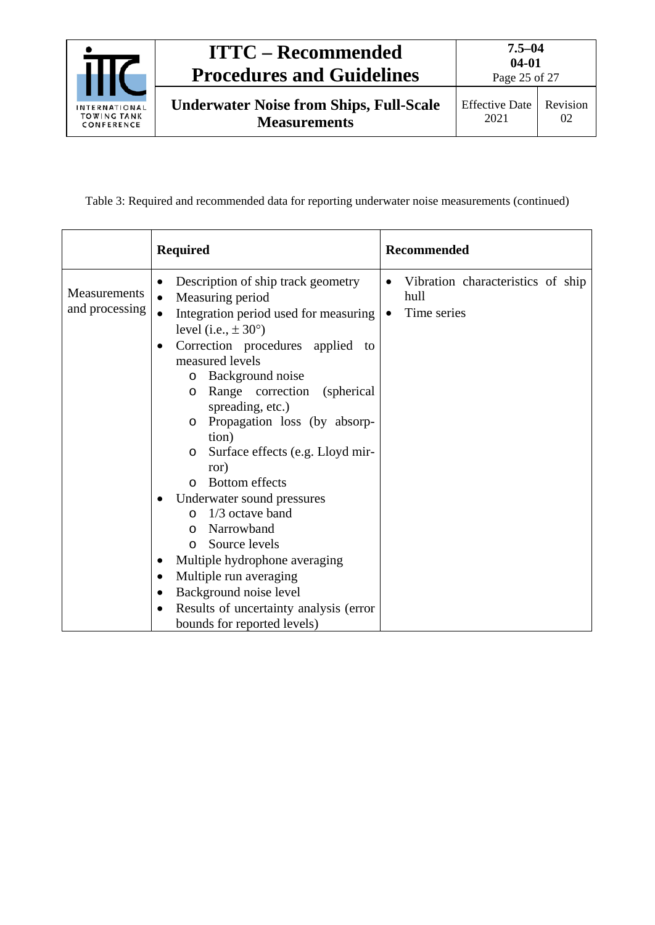

Table 3: Required and recommended data for reporting underwater noise measurements (continued)

|                                | <b>Required</b>                                                                                                                                                                                                                                                                                                                                                                                                                                                                                                                                                                                                                                                                                                                                 | <b>Recommended</b>                                                                 |
|--------------------------------|-------------------------------------------------------------------------------------------------------------------------------------------------------------------------------------------------------------------------------------------------------------------------------------------------------------------------------------------------------------------------------------------------------------------------------------------------------------------------------------------------------------------------------------------------------------------------------------------------------------------------------------------------------------------------------------------------------------------------------------------------|------------------------------------------------------------------------------------|
| Measurements<br>and processing | Description of ship track geometry<br>$\bullet$<br>Measuring period<br>$\bullet$<br>Integration period used for measuring<br>$\bullet$<br>level (i.e., $\pm 30^{\circ}$ )<br>Correction procedures applied to<br>$\bullet$<br>measured levels<br>Background noise<br>$\circ$<br>Range correction<br>(spherical)<br>$\circ$<br>spreading, etc.)<br>Propagation loss (by absorp-<br>$\circ$<br>tion)<br>Surface effects (e.g. Lloyd mir-<br>$\circ$<br>ror)<br><b>Bottom</b> effects<br>$\Omega$<br>Underwater sound pressures<br>1/3 octave band<br>$\circ$<br>Narrowband<br>$\circ$<br>Source levels<br>$\Omega$<br>Multiple hydrophone averaging<br>Multiple run averaging<br>Background noise level<br>Results of uncertainty analysis (error | Vibration characteristics of ship<br>$\bullet$<br>hull<br>Time series<br>$\bullet$ |
|                                | bounds for reported levels)                                                                                                                                                                                                                                                                                                                                                                                                                                                                                                                                                                                                                                                                                                                     |                                                                                    |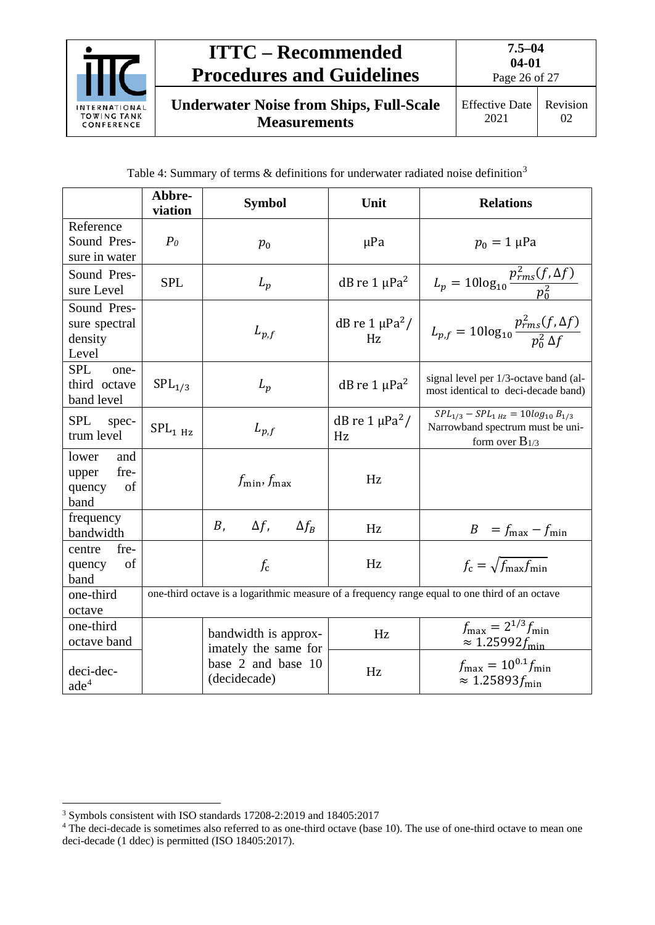

<span id="page-25-0"></span>

|                                                       | Abbre-<br>viation   | <b>Symbol</b>                                | Unit                       | <b>Relations</b>                                                                                                     |
|-------------------------------------------------------|---------------------|----------------------------------------------|----------------------------|----------------------------------------------------------------------------------------------------------------------|
| Reference<br>Sound Pres-<br>sure in water             | P <sub>0</sub>      | $p_0$                                        | $\mu$ Pa                   | $p_0 = 1 \,\mu Pa$                                                                                                   |
| Sound Pres-<br>sure Level                             | <b>SPL</b>          | $L_p$                                        | dB re $1 \mu Pa^2$         | $L_p = 10\log_{10}\frac{p_{rms}^2(f,\Delta f)}{p_0^2}$                                                               |
| Sound Pres-<br>sure spectral<br>density<br>Level      |                     | $L_{p,f}$                                    | dB re $1 \mu Pa^2$ /<br>Hz | $L_{p,f} = 10\log_{10}\frac{p_{rms}^2(f,\Delta f)}{p_{0}^2 \Delta f}$                                                |
| <b>SPL</b><br>one-<br>third octave<br>band level      | $SPL_{1/3}$         | $L_p$                                        | dB re $1 \mu Pa^2$         | signal level per 1/3-octave band (al-<br>most identical to deci-decade band)                                         |
| <b>SPL</b><br>spec-<br>trum level                     | SPL <sub>1 Hz</sub> | $L_{p,f}$                                    | dB re $1 \mu Pa^2$ /<br>Hz | $\overline{SPL_{1/3} - SPL_{1\,Hz}} = 10log_{10} B_{1/3}$<br>Narrowband spectrum must be uni-<br>form over $B_{1/3}$ |
| lower<br>and<br>fre-<br>upper<br>of<br>quency<br>band |                     | $f_{\min}, f_{\max}$                         | Hz                         |                                                                                                                      |
| frequency<br>bandwidth                                |                     | $\Delta f$ ,<br>$\Delta f_B$<br>$B_{1}$      | Hz                         | $B = f_{\text{max}} - f_{\text{min}}$                                                                                |
| fre-<br>centre<br>of<br>quency<br>band                |                     | $f_c$                                        | Hz                         | $f_c = \sqrt{f_{\text{max}} f_{\text{min}}}$                                                                         |
| one-third<br>octave                                   |                     |                                              |                            | one-third octave is a logarithmic measure of a frequency range equal to one third of an octave                       |
| one-third<br>octave band                              |                     | bandwidth is approx-<br>imately the same for | Hz                         | $f_{\text{max}} = 2^{1/3} f_{\text{min}}$<br>$\approx 1.25992 f_{\text{min}}$                                        |
| deci-dec-<br>ade <sup>4</sup>                         |                     | base 2 and base 10<br>(decidecade)           | Hz                         | $f_{\text{max}} = 10^{0.1} f_{\text{min}}$<br>$\approx 1.25893 f_{\text{min}}$                                       |

<span id="page-25-1"></span> <sup>3</sup> Symbols consistent with ISO standards 17208-2:2019 and 18405:2017

<span id="page-25-2"></span><sup>&</sup>lt;sup>4</sup> The deci-decade is sometimes also referred to as one-third octave (base 10). The use of one-third octave to mean one deci-decade (1 ddec) is permitted (ISO 18405:2017).